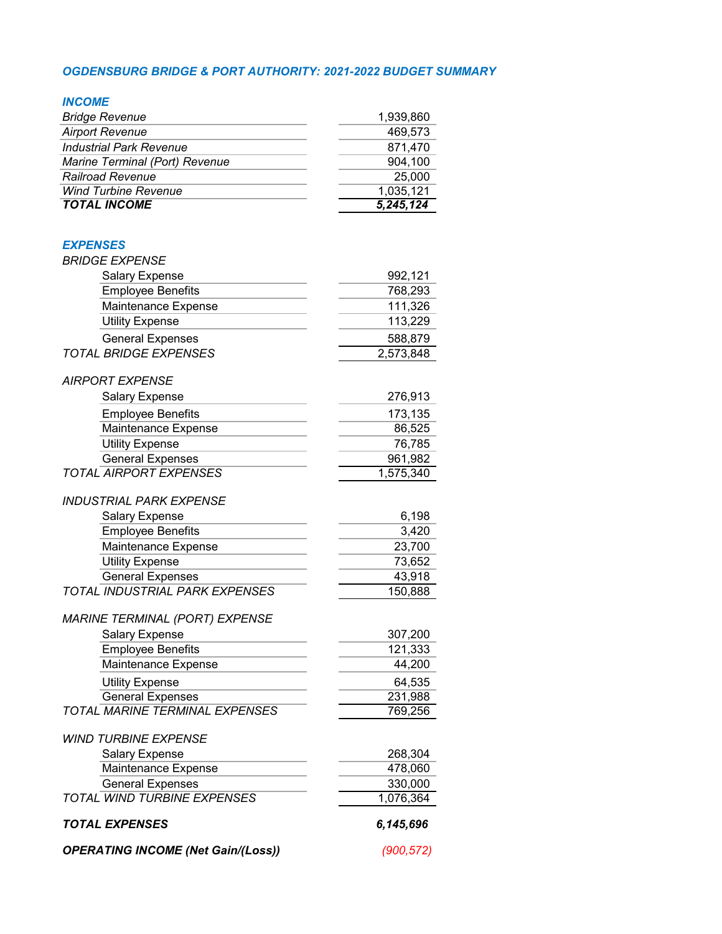### *OGDENSBURG BRIDGE & PORT AUTHORITY: 2021-2022 BUDGET SUMMARY*

### *INCOME*

| <b>TOTAL INCOME</b>            | 5,245,124 |
|--------------------------------|-----------|
| <b>Wind Turbine Revenue</b>    | 1,035,121 |
| <b>Railroad Revenue</b>        | 25,000    |
| Marine Terminal (Port) Revenue | 904.100   |
| <b>Industrial Park Revenue</b> | 871,470   |
| <b>Airport Revenue</b>         | 469.573   |
| <b>Bridge Revenue</b>          | 1,939,860 |

| <b>EXPENSES</b>                       |           |
|---------------------------------------|-----------|
| <b>BRIDGE EXPENSE</b>                 |           |
| Salary Expense                        | 992,121   |
| <b>Employee Benefits</b>              | 768,293   |
| Maintenance Expense                   | 111,326   |
| <b>Utility Expense</b>                | 113,229   |
| <b>General Expenses</b>               | 588,879   |
| <b>TOTAL BRIDGE EXPENSES</b>          | 2,573,848 |
| <b>AIRPORT EXPENSE</b>                |           |
| <b>Salary Expense</b>                 | 276,913   |
| <b>Employee Benefits</b>              | 173,135   |
| Maintenance Expense                   | 86,525    |
| <b>Utility Expense</b>                | 76,785    |
| <b>General Expenses</b>               | 961,982   |
| <b>TOTAL AIRPORT EXPENSES</b>         | 1,575,340 |
| INDUSTRIAL PARK EXPENSE               |           |
| <b>Salary Expense</b>                 | 6,198     |
| <b>Employee Benefits</b>              | 3,420     |
| Maintenance Expense                   | 23,700    |
| <b>Utility Expense</b>                | 73,652    |
| <b>General Expenses</b>               | 43,918    |
| <b>TOTAL INDUSTRIAL PARK EXPENSES</b> | 150,888   |
| MARINE TERMINAL (PORT) EXPENSE        |           |
| <b>Salary Expense</b>                 | 307,200   |
| <b>Employee Benefits</b>              | 121,333   |
| Maintenance Expense                   | 44,200    |
| <b>Utility Expense</b>                | 64,535    |
| <b>General Expenses</b>               | 231,988   |
| <b>TOTAL MARINE TERMINAL EXPENSES</b> | 769,256   |
| <b>WIND TURBINE EXPENSE</b>           |           |
| <b>Salary Expense</b>                 | 268,304   |
| Maintenance Expense                   | 478,060   |
| <b>General Expenses</b>               | 330,000   |
| <b>TOTAL WIND TURBINE EXPENSES</b>    | 1,076,364 |

# *TOTAL EXPENSES 6,145,696*

*OPERATING INCOME (Net Gain/(Loss)) (900,572)*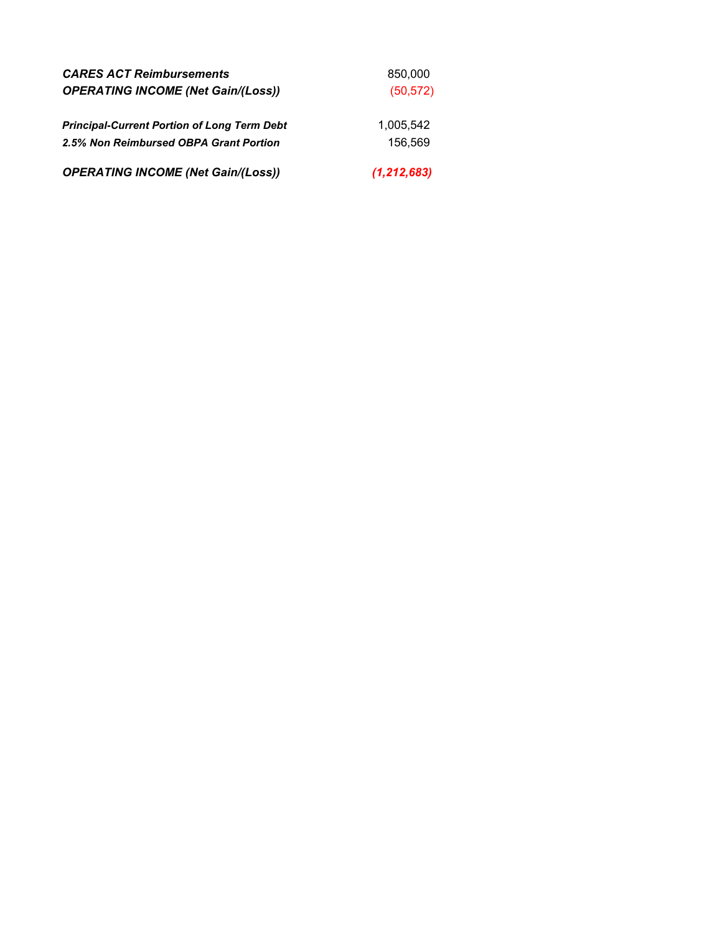| <b>CARES ACT Reimbursements</b>                    | 850,000       |
|----------------------------------------------------|---------------|
| <b>OPERATING INCOME (Net Gain/(Loss))</b>          | (50, 572)     |
|                                                    |               |
| <b>Principal-Current Portion of Long Term Debt</b> | 1.005.542     |
| 2.5% Non Reimbursed OBPA Grant Portion             | 156.569       |
| <b>OPERATING INCOME (Net Gain/(Loss))</b>          | (1, 212, 683) |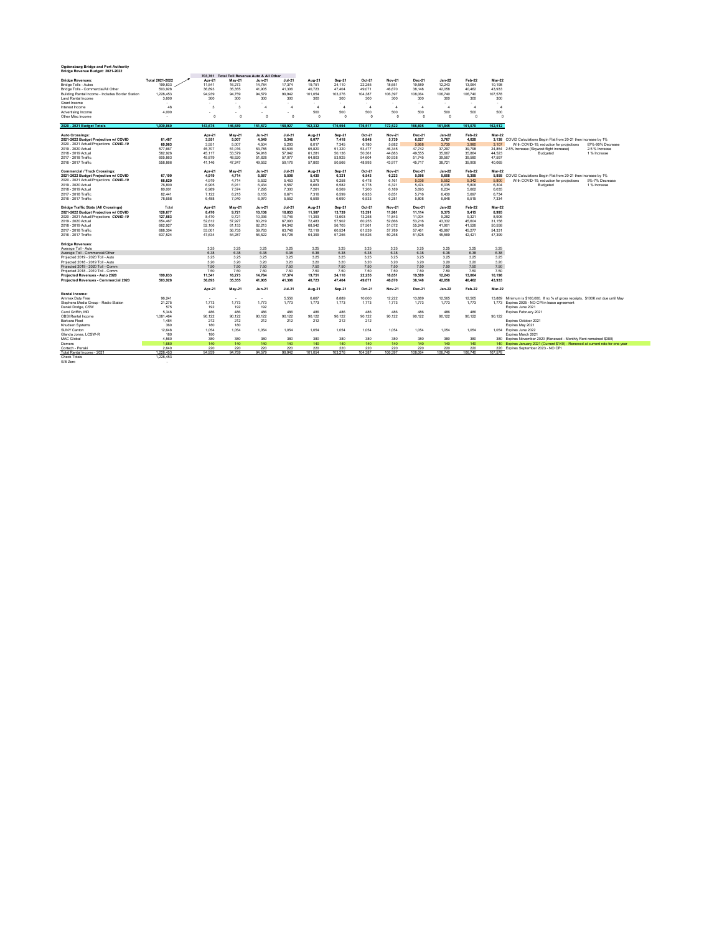| Ogdensburg Bridge and Port Authority<br>Bridge Revenue Budget: 2021-2022 |                    |                  |                                     |                        |                  |                  |                  |                  |                  |                  |                                 |                  |                  |                                                                                  |
|--------------------------------------------------------------------------|--------------------|------------------|-------------------------------------|------------------------|------------------|------------------|------------------|------------------|------------------|------------------|---------------------------------|------------------|------------------|----------------------------------------------------------------------------------|
|                                                                          |                    | 703,761          | Total Toll Revenue Auto & All Other |                        |                  |                  |                  |                  |                  |                  |                                 |                  |                  |                                                                                  |
| <b>Bridge Revenues:</b>                                                  | Total 2021-2022    | Apr-21           | May-21                              | $Jun-21$               | Jul-21           | Aug-21           | Sep-21           | Oct-21           | Nov-21           | Dec-21           | $Jan-22$                        | Feb-22           | Mar-22           |                                                                                  |
| Bridge Tolls - Autos                                                     | 199.833            | 11.541           | 16.273                              | 14.784                 | 17.374           | 19.751           | 24.110           | 22.255           | 18.651           | 19.589           | 12.243                          | 13.064           | 10.198           |                                                                                  |
| Bridge Tolls - Commercial/All Other                                      | 503,928            | 36,893           | 35,355                              | 41,905                 | 41,306           | 40,723           | 47.404           | 49,071           | 46,670           | 38,148           | 42,058                          | 40,462           | 43,933           |                                                                                  |
| Building Rental Income - Includes Border Station                         | 1.228.453          | 94.939<br>300    | 94.759                              | 94.579                 | 99.942           | 101.054          | 103.276          | 104.387          | 106.397          | 108.064          | 106.740                         | 106.740          | 107.578          |                                                                                  |
| Land Rental Income<br>Grant Income                                       | 3.600<br>$\sim$    | ÷.               | 300<br>$\alpha$                     | 300<br>$\bullet$       | 300              | 300              | 300              | 300<br>$\sim$    | 300<br>۰         | 300              | 300<br>$\overline{\phantom{a}}$ | 300<br>÷.        | 300              |                                                                                  |
| Interest Income                                                          | 46                 | -3               | $\mathcal{R}$                       | $\Delta$               | $\overline{a}$   | $\overline{a}$   | $\mathbf{4}$     | $\mathbf{4}$     | $\Delta$         | $\overline{a}$   | $\overline{a}$                  | $\mathbf{4}$     | $\mathbf{A}$     |                                                                                  |
| Advertising Income                                                       | 4.000              |                  | ٠                                   |                        |                  | 500              | 500              | 500              | 500              | 500              | 500                             | 500              | 500              |                                                                                  |
| Other Misc Income                                                        | ٠.                 | $\Omega$         | $\Omega$                            | $\Omega$               | $\Omega$         | $\Omega$         | $\Omega$         | $\Omega$         | $\Omega$         | $\Omega$         | $\Omega$                        | $\Omega$         | $\Omega$         |                                                                                  |
| 2020 - 2021 Budget Totals                                                | 1.939.860          | 143.675          | 146,689                             | 151.572                | 158.927          | 162.332          | 175,594          | 176,517          | 172.522          | 166,605          | 161,845                         | 161.070          | 162.512          |                                                                                  |
| <b>Auto Crossings:</b>                                                   |                    | Apr-21           | May-21                              | <b>Jun-21</b>          | Jul-21           | Aug-21           | Sep-21           | Oct-21           | Nov-21           | <b>Dec-21</b>    | $Jan-22$                        | Feb-22           | Mar-22           |                                                                                  |
| 2021-2022 Budget Projection w/ COVID                                     | 61,487             | 3.551            | 5,007                               | 4.549                  | 5.346            | 6.077            | 7.418            | 6,848            | 5,739            | 6.027            | 3.767                           | 4.020            | 3,138            | COVID Calculations Begin Flat from 20-21 then increase by 1%                     |
| 2020 - 2021 Actual/Projections COVID-19                                  | 60.963             | 3.551            | 5.007                               | 4.504                  | 5.293            | 6.017            | 7.345            | 6.780            | 5.682            | 5.968            | 3.730                           | 3.980            | 3.107            | With COVID-19, reduction for projections<br>87%-90% Decrease                     |
| 2019 - 2020 Actual                                                       | 577.667            | 45.707           | 51.016                              | 53.785                 | 60.506           | 65,820           | 51.320           | 53,477           | 46.345           | 47.742           | 37.297                          | 39.798           | 24.854           | 2.5% Increase (Skywest flight increase)<br>2.5 % Increase                        |
| 2018 - 2019 Actual                                                       | 582.926            | 45.117           | 53,579                              | 54.918                 | 57.042           | 61,281           | 50.136           | 50,361           | 44.883           | 49,555           | 35,667                          | 35,864           | 44.523           | 1% Increase<br>Budgeted                                                          |
| 2017 - 2018 Traffic                                                      | 605,863            | 45.879           | 48.520                              | 51.628                 | 57.077           | 64.803           | 53.925           | 54.604           | 50.938           | 51,745           | 39.567                          | 39.580           | 47.597           |                                                                                  |
| 2016 - 2017 Traffic                                                      | 558,866            | 41.146           | 47.247                              | 49.552                 | 59.176           | 57,800           | 50.566           | 48.993           | 43.977           | 45.717           | 38,721                          | 35.906           | 40.065           |                                                                                  |
| <b>Commercial / Truck Crossings</b>                                      |                    | Apr-21           | May-21                              |                        | Jul-21           |                  |                  | Oct-21           | Nov-21           | Dec-21           | $Jan-22$                        | Feb-22           | Mar-22           |                                                                                  |
| 2021-2022 Budget Projection w/ COVID                                     | 67,190             | 4.919            | 4,714                               | <b>Jun-21</b><br>5.587 | 5,508            | Aug-21<br>5,430  | Sep-21<br>6.321  | 6,543            | 6.223            | 5.086            | 5.608                           | 5.395            | 5.858            | COVID Calculations Begin Flat from 20-21 then increase by 1%                     |
| 2020 - 2021 Actual/Projections COVID-19                                  | 66.620             | 4.919            | 4.714                               | 5.532                  | 5.453            | 5.376            | 6.258            | 6,478            | 6.161            | 5.036            | 5.552                           | 5.342            | 5,800            | With COVID-19, reduction for projections<br>5%-7% Decrease                       |
| 2019 - 2020 Actual                                                       | 76,800             | 6,905            | 6.911                               | 6.434                  | 6.587            | 6.663            | 6.582            | 6.778            | 6.321            | 5.474            | 6.035                           | 5.806            | 6.304            | Budgeted<br>1% Increase                                                          |
| 2018 - 2019 Actual                                                       | 80.001             | 6.989            | 7.574                               | 7.295                  | 7.300            | 7.261            | 6.569            | 7,200            | 6.189            | 5.693            | 6.234                           | 5.662            | 6.035            |                                                                                  |
| 2017 - 2018 Traffic                                                      | 82.441             | 7.122            | 8.215                               | 8.155                  | 6.671            | 7.316            | 6.599            | 6.935            | 6.851            | 5.716            | 6.430                           | 5.697            | 6.734            |                                                                                  |
| 2016 - 2017 Traffic                                                      | 78,658             | 6.488            | 7.040                               | 6.970                  | 5.552            | 6.599            | 6.690            | 6,533            | 6.281            | 5.808            | 6.848                           | 6.515            | 7.334            |                                                                                  |
|                                                                          |                    |                  |                                     |                        |                  |                  |                  |                  |                  |                  |                                 |                  |                  |                                                                                  |
| <b>Bridge Traffic Stats (All Crossings)</b>                              | Total              | Apr-21           | May-21                              | <b>Jun-21</b>          | Jul-21           | Aug-21           | Sep-21           | Oct-21           | Nov-21           | Dec-21           | $Jan-22$                        | Feb-22           | Mar-22           |                                                                                  |
| 2021-2022 Budget Projection w/ COVID                                     | 128,677            | 8,470            | 9.721                               | 10.136                 | 10,853           | 11,507           | 13,739           | 13,391           | 11.961           | 11.114           | 9,375                           | 9.415            | 8,995            |                                                                                  |
| 2020 - 2021 Actual/Projections COVID-19                                  | 127,583            | 8,470            | 9,721                               | 10.036                 | 10.746           | 11,393           | 13,603           | 13,258           | 11,843           | 11.004           | 9,282                           | 9,321            | 8.906            |                                                                                  |
| 2019 - 2020 Actual                                                       | 654,467            | 52.612           | 57.927                              | 60.219                 | 67.093           | 72,483           | 57.902           | 60.255           | 52.666           | 53.216           | 43.332                          | 45.604           | 31.158           |                                                                                  |
| 2018 - 2019 Actual                                                       | 662.927            | 52.106           | 61.153                              | 62.213                 | 64.342           | 68.542           | 56.705           | 57.561           | 51.072           | 55.248           | 41.901                          | 41.526           | 50.558           |                                                                                  |
| 2017 - 2018 Traffic<br>2016 - 2017 Traffic                               | 688.304<br>637.524 | 53.001<br>47.634 | 56.735<br>54.287                    | 59.783<br>56.522       | 63.748<br>64.728 | 72.119<br>64.399 | 60.524<br>57.256 | 61,539<br>55.526 | 57,789<br>50.258 | 57.461<br>51.525 | 45.997<br>45.569                | 45,277<br>42.421 | 54.331<br>47.399 |                                                                                  |
|                                                                          |                    |                  |                                     |                        |                  |                  |                  |                  |                  |                  |                                 |                  |                  |                                                                                  |
| <b>Bridge Revenues:</b>                                                  |                    |                  | 3.25                                |                        |                  | 3.25             |                  |                  |                  |                  | 3.25                            |                  | 3.25             |                                                                                  |
| Average Toll - Auto<br>Average Toll - Commercial/Other                   |                    | 3.25<br>6.38     | 6.38                                | 3.25<br>6.38           | 3.25<br>6.38     | 6.38             | 3.25<br>6.38     | 3.25<br>6.38     | 3.25<br>6.38     | 3.25<br>6.38     | 6.38                            | 3.25<br>6.38     | 6.38             |                                                                                  |
| Projected 2019 - 2020 Toll - Auto                                        |                    | 3.25             | 3.25                                | 3.25                   | 3.25             | 3.25             | 3.25             | 3.25             | 3.25             | 3.25             | 3.25                            | 3.25             | 3.25             |                                                                                  |
| Projected 2018 - 2019 Toll - Auto                                        |                    | 3.20             | 3.20                                | 3.20                   | 3.20             | 3.20             | 3.20             | 3.20             | 3.20             | 3.20             | 3.20                            | 3.20             | 3.20             |                                                                                  |
| Projected 2019 - 2020 Toll - Comm                                        |                    | 7.50             | 7.50                                | 7.50                   | 7.50             | 7.50             | 7.50             | 7.50             | 7.50             | 7.50             | 7.50                            | 7.50             | 7.50             |                                                                                  |
| Projected 2018 - 2019 Toll - Comm                                        |                    | 7.50             | 7.50                                | 7.50                   | 7.50             | 7.50             | 7.50             | 7.50             | 7.50             | 7.50             | 7.50                            | 7.50             | 7.50             |                                                                                  |
| Projected Revenues - Auto 2020                                           | 199,833            | 11.541           | 16,273                              | 14.784                 | 17.374           | 19,751           | 24.110           | 22,255           | 18,651           | 19,589           | 12.243                          | 13.064           | 10,198           |                                                                                  |
| Projected Revenues - Commercial 2020                                     | 503.928            | 36,893           | 35,355                              | 41.905                 | 41.306           | 40.723           | 47.404           | 49.071           | 46,670           | 38,148           | 42.058                          | 40.462           | 43,933           |                                                                                  |
|                                                                          |                    |                  |                                     |                        |                  |                  |                  |                  |                  |                  |                                 |                  |                  |                                                                                  |
| Rental Income:                                                           |                    | Apr-21           | May-21                              | <b>Jun-21</b>          | Jul-21           | Aug-21           | Sep-21           | Oct-21           | Nov-21           | Dec-21           | $Jan-22$                        | Feb-22           | Mar-22           |                                                                                  |
| Ammex Duty Free                                                          | 96.241             |                  | $\sim$                              |                        | 5.556            | 6.667            | 8.889            | 10,000           | 12.222           | 13.889           | 12.565                          | 12.565           |                  | 13.889 Minimum is \$100.000. If no % of gross receipts. \$100K not due until May |
| Stephens Media Group - Radio Station                                     | 21.275             | 1.773            | 1.773                               | 1.773                  | 1.773            | 1.773            | 1.773            | 1.773            | 1.773            | 1.773            | 1.773                           | 1.773            |                  | 1.773 Expires 2025 - NO CPI in lease agreement                                   |
| Daniel Dodge, CSW                                                        | 575                | 192              | 192                                 | 192                    |                  |                  |                  |                  |                  |                  |                                 |                  |                  | Expires June 2021                                                                |
| Carol Griffith, MD                                                       | 5.346              | 486              | 486                                 | 486                    | 486              | 486              | 486              | 486              | 486              | 486              | 486                             | 486              |                  | Expires February 2021                                                            |
| OBSI Rental Income                                                       | 1.081.464          | 90.122           | 90.122                              | 90.122                 | 90.122           | 90.122           | 90.122           | 90.122           | 90.122           | 90.122           | 90.122                          | 90.122           | 90.122           |                                                                                  |
| Barbara Fleet                                                            | 1.484              | 212              | 212                                 | 212                    | 212              | 212              | 212              | 212              |                  |                  |                                 |                  |                  | Expires October 2021                                                             |
| Knudsen Systems                                                          | 360                | 180              | 180                                 |                        |                  |                  |                  |                  |                  |                  |                                 |                  |                  | Expires May 2021                                                                 |
| SUNY Canton                                                              | 12.648             | 1.054            | 1.054                               | 1.054                  | 1.054            | 1.054            | 1.054            | 1.054            | 1.054            | 1.054            | 1.054                           | 1.054            |                  | 1.054 Expires June 2022                                                          |
| Glenda Jones, LCSW-R                                                     | 180                | 180              |                                     |                        |                  |                  |                  |                  |                  |                  |                                 |                  |                  | Expires March 2021                                                               |
| <b>MAC Global</b>                                                        | 4,560              | 380              | 380                                 | 380                    | 380              | 380              | 380              | 380              | 380              | 380              | 380                             | 380              |                  | 380 Expires November 2020 (Renewed - Monthly Rent remained \$380)                |
| Demers                                                                   | 1.680              | 140              | 140                                 | 140                    | 140              | 140              | 140              | 140              | 140              | 140              | 140                             | 140              |                  | 140 Expires January 2021 (Current \$140) - Renewed at current rate for one year  |
| Cortech - Penski                                                         | 2.640              | 220              | 220                                 | 220                    | 220              | 220              | 220              | 220              | 220              | 220              | 220                             | 220              |                  | 220 Expires September 2023 - NO CPI                                              |
| Total Rental Income - 2021                                               | 1 228 453          | 94 939           | 94 759                              | 94.579                 | 99.942           | 101.054          | 103 276          | 104.387          | 106.397          | 108.064          | 106.740                         | 106,740          | 107.578          |                                                                                  |

Check Totals 1,228,453 S/B Zero -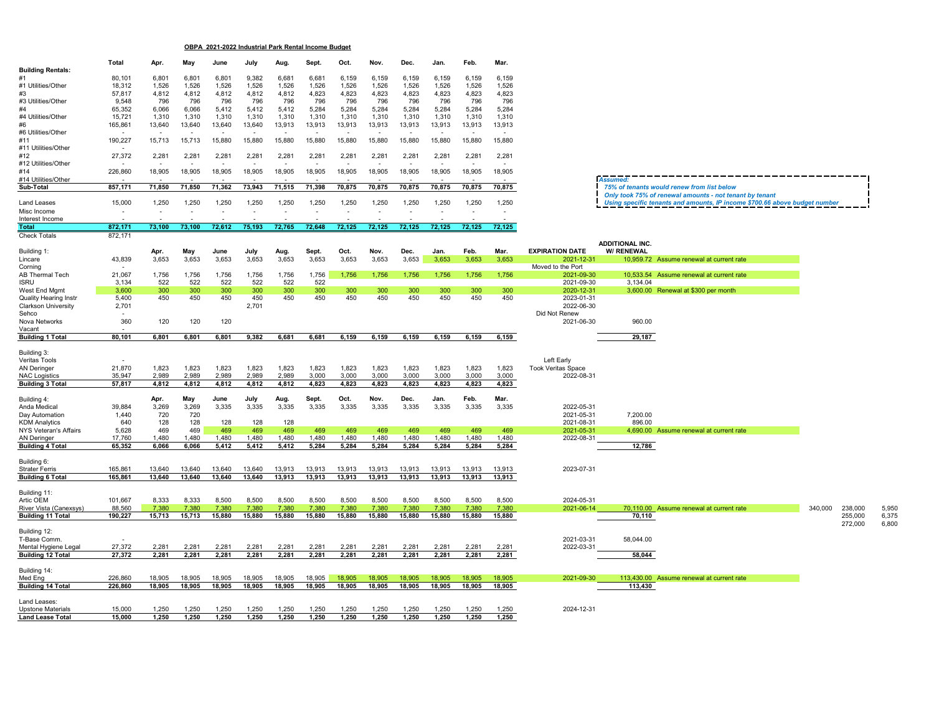**OBPA 2021-2022 Industrial Park Rental Income Budget**

|                                                  | Total                    |                          | May              | June             | July             |                  |                  | Oct.             | Nov.             | Dec.             | Jan.             | Feb.                     | Mar.                     |                                         |                        |                                                                            |         |                    |                |
|--------------------------------------------------|--------------------------|--------------------------|------------------|------------------|------------------|------------------|------------------|------------------|------------------|------------------|------------------|--------------------------|--------------------------|-----------------------------------------|------------------------|----------------------------------------------------------------------------|---------|--------------------|----------------|
| <b>Building Rentals:</b>                         |                          | Apr.                     |                  |                  |                  | Aug.             | Sept.            |                  |                  |                  |                  |                          |                          |                                         |                        |                                                                            |         |                    |                |
|                                                  | 80,101                   | 6,801                    | 6,801            | 6,801            | 9,382            | 6,681            | 6,681            | 6,159            | 6,159            | 6,159            | 6,159            | 6,159                    | 6,159                    |                                         |                        |                                                                            |         |                    |                |
| #1 Utilities/Other                               | 18,312                   | 1,526                    | 1,526            | 1,526            | 1,526            | 1,526            | 1,526            | 1,526            | 1,526            | 1,526            | 1,526            | 1,526                    | 1,526                    |                                         |                        |                                                                            |         |                    |                |
| #3<br>#3 Utilities/Other                         | 57,817                   | 4,812<br>796             | 4,812<br>796     | 4,812<br>796     | 4,812            | 4,812<br>796     | 4,823<br>796     | 4,823<br>796     | 4,823<br>796     | 4,823<br>796     | 4,823<br>796     | 4,823<br>796             | 4,823                    |                                         |                        |                                                                            |         |                    |                |
| #4                                               | 9,548<br>65,352          | 6,066                    | 6,066            | 5,412            | 796<br>5,412     | 5,412            | 5,284            | 5,284            | 5,284            | 5,284            | 5,284            | 5,284                    | 796<br>5,284             |                                         |                        |                                                                            |         |                    |                |
| #4 Utilities/Other                               | 15,721                   | 1,310                    | 1,310            | 1,310            | 1,310            | 1,310            | 1,310            | 1,310            | 1,310            | 1,310            | 1,310            | 1,310                    | 1.310                    |                                         |                        |                                                                            |         |                    |                |
| #6                                               | 165,861                  | 13,640                   | 13,640           | 13,640           | 13,640           | 13,913           | 13,913           | 13,913           | 13,913           | 13,913           | 13,913           | 13,913                   | 13,913                   |                                         |                        |                                                                            |         |                    |                |
| #6 Utilities/Other                               | $\sim$                   |                          |                  |                  |                  |                  |                  |                  |                  |                  |                  |                          | $\overline{\phantom{a}}$ |                                         |                        |                                                                            |         |                    |                |
| #11                                              | 190,227                  | 15,713                   | 15,713           | 15,880           | 15,880           | 15,880           | 15,880           | 15,880           | 15,880           | 15,880           | 15,880           | 15,880                   | 15,880                   |                                         |                        |                                                                            |         |                    |                |
| #11 Utilities/Other                              |                          |                          |                  |                  |                  |                  |                  |                  |                  |                  |                  |                          |                          |                                         |                        |                                                                            |         |                    |                |
| #12<br>#12 Utilities/Other                       | 27,372                   | 2,281                    | 2,281            | 2,281            | 2,281            | 2,281            | 2,281            | 2,281            | 2,281            | 2,281            | 2,281            | 2,281                    | 2,281                    |                                         |                        |                                                                            |         |                    |                |
| #14                                              | 226,860                  | 18,905                   | 18,905           | 18,905           | 18,905           | 18,905           | 18,905           | 18,905           | 18,905           | 18,905           | 18,905           | 18,905                   | 18,905                   |                                         |                        |                                                                            |         |                    |                |
| #14 Utilities/Other                              |                          |                          |                  |                  |                  |                  |                  |                  |                  |                  |                  |                          |                          |                                         | <b>Assumed:</b>        |                                                                            |         |                    |                |
| Sub-Total                                        | 857,171                  | 71,850                   | 71,850           | 71,362           | 73,943           | 71,515           | 71,398           | 70,875           | 70,875           | 70,875           | 70,875           | 70,875                   | 70,875                   |                                         |                        | 75% of tenants would renew from list below                                 |         |                    |                |
|                                                  |                          |                          |                  |                  |                  |                  |                  |                  |                  |                  |                  |                          |                          |                                         |                        | Only took 75% of renewal amounts - not tenant by tenant                    |         |                    |                |
| Land Leases                                      | 15,000                   | 1,250                    | 1,250            | 1,250            | 1,250            | 1,250            | 1,250            | 1,250            | 1,250            | 1,250            | 1,250            | 1,250                    | 1,250                    |                                         |                        | Using specific tenants and amounts, IP income \$700.66 above budget number |         |                    |                |
| Misc Income<br>Interest Income                   | $\overline{\phantom{a}}$ | $\overline{\phantom{a}}$ |                  |                  |                  |                  |                  |                  |                  |                  |                  | $\overline{\phantom{a}}$ | $\sim$                   |                                         |                        |                                                                            |         |                    |                |
| Total                                            | 872,171                  | 73,100                   | 73,100           | 72,612           | 75,193           | 72,765           | 72,648           | 72.125           | 72,125           | 72.125           | 72.125           | 72,125                   | 72,125                   |                                         |                        |                                                                            |         |                    |                |
| <b>Check Totals</b>                              | 872,171                  |                          |                  |                  |                  |                  |                  |                  |                  |                  |                  |                          |                          |                                         |                        |                                                                            |         |                    |                |
|                                                  |                          |                          |                  |                  |                  |                  |                  |                  |                  |                  |                  |                          |                          |                                         | <b>ADDITIONAL INC.</b> |                                                                            |         |                    |                |
| Building 1:                                      |                          | Apr.                     | May              | June             | July             | Aug.             | Sept.            | Oct.             | Nov.             | Dec.             | Jan.             | Feb.                     | Mar.                     | <b>EXPIRATION DATE</b>                  | W/ RENEWAL             |                                                                            |         |                    |                |
| Lincare                                          | 43,839                   | 3,653                    | 3,653            | 3,653            | 3,653            | 3,653            | 3,653            | 3,653            | 3,653            | 3,653            | 3,653            | 3,653                    | 3,653                    | $2021 - 12 - 3'$                        |                        | 10,959.72 Assume renewal at current rate                                   |         |                    |                |
| Corning                                          |                          |                          |                  |                  |                  |                  |                  |                  |                  |                  |                  |                          |                          | Moved to the Port                       |                        |                                                                            |         |                    |                |
| AB Thermal Tech<br><b>ISRU</b>                   | 21,067<br>3,134          | 1,756<br>522             | 1,756<br>522     | 1,756<br>522     | 1,756<br>522     | 1,756<br>522     | 1,756<br>522     | 1,756            | 1,756            | 1,756            | 1,756            | 1,756                    | 1,756                    | 2021-09-30<br>2021-09-30                | 3,134.04               | 10,533.54 Assume renewal at current rate                                   |         |                    |                |
| West End Mgmt                                    | 3,600                    | 300                      | 300              | 300              | 300              | 300              | 300              | 300              | 300              | 300              | 300              | 300                      | 300                      | 2020-12-31                              |                        | 3,600.00 Renewal at \$300 per month                                        |         |                    |                |
| <b>Quality Hearing Instr</b>                     | 5,400                    | 450                      | 450              | 450              | 450              | 450              | 450              | 450              | 450              | 450              | 450              | 450                      | 450                      | 2023-01-31                              |                        |                                                                            |         |                    |                |
| <b>Clarkson University</b>                       | 2,701                    |                          |                  |                  | 2,701            |                  |                  |                  |                  |                  |                  |                          |                          | 2022-06-30                              |                        |                                                                            |         |                    |                |
| Sehco                                            |                          |                          |                  |                  |                  |                  |                  |                  |                  |                  |                  |                          |                          | Did Not Renew                           |                        |                                                                            |         |                    |                |
| Nova Networks                                    | 360                      | 120                      | 120              | 120              |                  |                  |                  |                  |                  |                  |                  |                          |                          | 2021-06-30                              | 960.00                 |                                                                            |         |                    |                |
| Vacant<br><b>Building 1 Total</b>                | 80,101                   | 6,801                    | 6,801            | 6,801            | 9,382            | 6,681            | 6,681            | 6,159            | 6,159            | 6,159            | 6,159            | 6,159                    | 6,159                    |                                         | 29,187                 |                                                                            |         |                    |                |
|                                                  |                          |                          |                  |                  |                  |                  |                  |                  |                  |                  |                  |                          |                          |                                         |                        |                                                                            |         |                    |                |
| Building 3:                                      |                          |                          |                  |                  |                  |                  |                  |                  |                  |                  |                  |                          |                          |                                         |                        |                                                                            |         |                    |                |
| Veritas Tools                                    |                          |                          |                  |                  |                  |                  |                  |                  |                  |                  |                  |                          |                          | Left Early                              |                        |                                                                            |         |                    |                |
| <b>AN Deringer</b>                               | 21,870<br>35,947         | 1,823<br>2,989           | 1,823<br>2,989   | 1,823<br>2,989   | 1,823<br>2,989   | 1,823<br>2,989   | 1,823<br>3,000   | 1,823<br>3,000   | 1,823<br>3,000   | 1,823<br>3,000   | 1,823<br>3,000   | 1,823<br>3,000           | 1,823<br>3,000           | <b>Took Veritas Space</b><br>2022-08-31 |                        |                                                                            |         |                    |                |
| <b>NAC Logistics</b><br><b>Building 3 Total</b>  | 57,817                   | 4,812                    | 4,812            | 4,812            | 4,812            | 4,812            | 4,823            | 4,823            | 4,823            | 4,823            | 4,823            | 4,823                    | 4,823                    |                                         |                        |                                                                            |         |                    |                |
|                                                  |                          |                          |                  |                  |                  |                  |                  |                  |                  |                  |                  |                          |                          |                                         |                        |                                                                            |         |                    |                |
| Building 4:                                      |                          | Apr.                     | May              | June             | July             | Aug.             | Sept.            | Oct.             | Nov.             | Dec.             | Jan.             | Feb.                     | Mar.                     |                                         |                        |                                                                            |         |                    |                |
| Anda Medical                                     | 39,884                   | 3,269                    | 3,269            | 3,335            | 3,335            | 3,335            | 3,335            | 3,335            | 3,335            | 3,335            | 3,335            | 3,335                    | 3,335                    | 2022-05-31                              |                        |                                                                            |         |                    |                |
| Day Automation                                   | 1,440<br>640             | 720                      | 720              |                  |                  |                  |                  |                  |                  |                  |                  |                          |                          | 2021-05-31                              | 7,200.00               |                                                                            |         |                    |                |
| <b>KDM Analytics</b><br>NYS Veteran's Affairs    | 5,628                    | 128<br>469               | 128<br>469       | 128<br>469       | 128<br>469       | 128<br>469       | 469              | 469              | 469              | 469              | 469              | 469                      | 469                      | 2021-08-31<br>2021-05-31                | 896.00                 | 4,690.00 Assume renewal at current rate                                    |         |                    |                |
| <b>AN Deringer</b>                               | 17,760                   | 1,480                    | 1,480            | 1,480            | 1,480            | 1,480            | 1,480            | 1,480            | 1,480            | 1,480            | 1,480            | 1,480                    | 1,480                    | 2022-08-31                              |                        |                                                                            |         |                    |                |
| <b>Building 4 Total</b>                          | 65,352                   | 6,066                    | 6,066            | 5,412            | 5,412            | 5,412            | 5,284            | 5,284            | 5,284            | 5,284            | 5,284            | 5,284                    | 5,284                    |                                         | 12,786                 |                                                                            |         |                    |                |
|                                                  |                          |                          |                  |                  |                  |                  |                  |                  |                  |                  |                  |                          |                          |                                         |                        |                                                                            |         |                    |                |
| Building 6:                                      |                          |                          |                  |                  |                  |                  |                  |                  |                  |                  |                  |                          |                          |                                         |                        |                                                                            |         |                    |                |
| <b>Strater Ferris</b><br><b>Building 6 Total</b> | 165.861<br>165.861       | 13.640<br>13.640         | 13.640<br>13.640 | 13.640<br>13,640 | 13.640<br>13.640 | 13.913<br>13.913 | 13.913<br>13,913 | 13.913<br>13.913 | 13.913<br>13.913 | 13.913<br>13,913 | 13.913<br>13.913 | 13.913<br>13.913         | 13.913<br>13,913         | 2023-07-31                              |                        |                                                                            |         |                    |                |
|                                                  |                          |                          |                  |                  |                  |                  |                  |                  |                  |                  |                  |                          |                          |                                         |                        |                                                                            |         |                    |                |
| Building 11:                                     |                          |                          |                  |                  |                  |                  |                  |                  |                  |                  |                  |                          |                          |                                         |                        |                                                                            |         |                    |                |
| Artic OEM                                        | 101,667                  | 8,333                    | 8,333            | 8,500            | 8,500            | 8,500            | 8,500            | 8,500            | 8,500            | 8,500            | 8,500            | 8,500                    | 8,500                    | 2024-05-31                              |                        |                                                                            |         |                    |                |
| River Vista (Canexsys)                           | 88,560                   | 7.380                    | 7.380            | 7.380            | 7.380            | 7,380            | 7,380            | 7.380            | 7,380            | 7,380            | 7.380            | 7.380                    | 7,380                    | 2021-06-14                              |                        | 70,110.00 Assume renewal at current rate                                   | 340,000 | 238,000            | 5,950          |
| <b>Building 11 Total</b>                         | 190,227                  | 15,713                   | 15,713           | 15,880           | 15,880           | 15,880           | 15,880           | 15,880           | 15,880           | 15,880           | 15,880           | 15,880                   | 15,880                   |                                         | 70,110                 |                                                                            |         | 255,000<br>272,000 | 6,375<br>6,800 |
| Building 12:                                     |                          |                          |                  |                  |                  |                  |                  |                  |                  |                  |                  |                          |                          |                                         |                        |                                                                            |         |                    |                |
| T-Base Comm                                      |                          |                          |                  |                  |                  |                  |                  |                  |                  |                  |                  |                          |                          | 2021-03-31                              | 58,044.00              |                                                                            |         |                    |                |
| Mental Hygiene Legal                             | 27,372                   | 2,281                    | 2,281            | 2,281            | 2,281            | 2,281            | 2,281            | 2,281            | 2,281            | 2,281            | 2,281            | 2,281                    | 2,281                    | 2022-03-31                              |                        |                                                                            |         |                    |                |
| <b>Building 12 Total</b>                         | 27,372                   | 2,281                    | 2,281            | 2,281            | 2,281            | 2,281            | 2,281            | 2,281            | 2,281            | 2,281            | 2,281            | 2,281                    | 2,281                    |                                         | 58,044                 |                                                                            |         |                    |                |
|                                                  |                          |                          |                  |                  |                  |                  |                  |                  |                  |                  |                  |                          |                          |                                         |                        |                                                                            |         |                    |                |
| Building 14:<br>Med Eng                          |                          | 18.905                   | 18.905           | 18,905           | 18,905           | 18.905           | 18,905           | 18.905           |                  | 18,905           | 18.905           | 18,905                   | 18,905                   | 2021-09-30                              |                        | 113,430.00 Assume renewal at current rate                                  |         |                    |                |
| <b>Building 14 Total</b>                         | 226,860<br>226,860       | 18.905                   | 18.905           | 18.905           | 18.905           | 18.905           | 18.905           | 18.905           | 18,905<br>18.905 | 18.905           | 18.905           | 18.905                   | 18,905                   |                                         | 113,430                |                                                                            |         |                    |                |
|                                                  |                          |                          |                  |                  |                  |                  |                  |                  |                  |                  |                  |                          |                          |                                         |                        |                                                                            |         |                    |                |
| Land Leases:                                     |                          |                          |                  |                  |                  |                  |                  |                  |                  |                  |                  |                          |                          |                                         |                        |                                                                            |         |                    |                |
| <b>Upstone Materials</b>                         | 15,000                   | 1,250                    | 1,250            | 1,250            | 1,250            | 1,250            | 1,250            | 1,250            | 1,250            | 1,250            | 1,250            | 1,250                    | 1,250                    | 2024-12-31                              |                        |                                                                            |         |                    |                |
| <b>Land Lease Total</b>                          | 15,000                   | 1,250                    | 1,250            | 1,250            | 1,250            | 1,250            | 1,250            | 1,250            | 1,250            | 1,250            | 1,250            | 1,250                    | 1,250                    |                                         |                        |                                                                            |         |                    |                |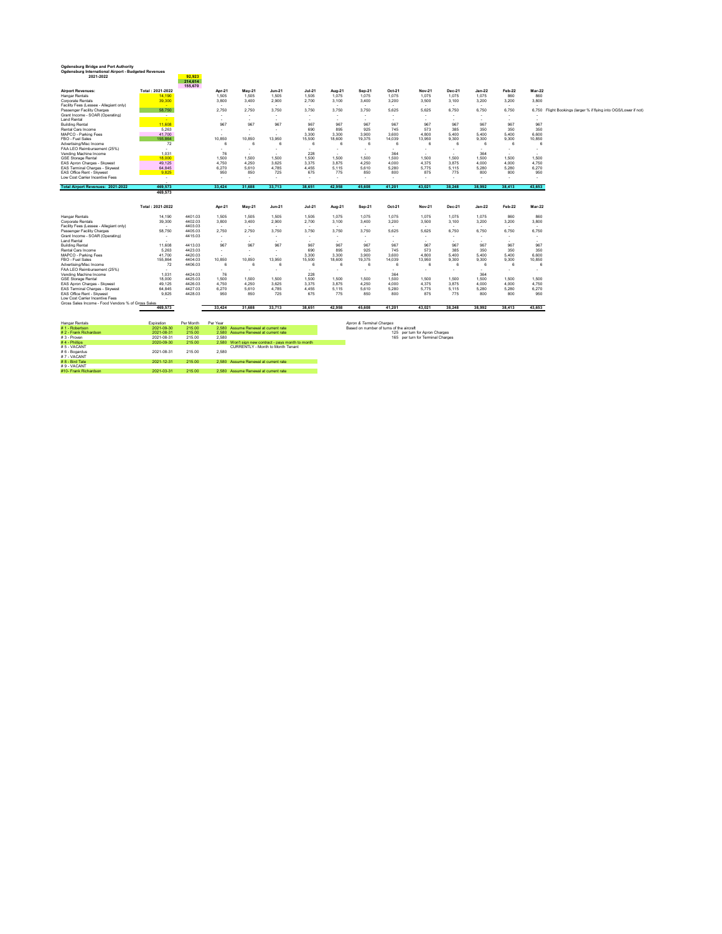| Ogdensburg Bridge and Port Authority<br>Ogdensburg International Airport - Budgeted Revenues<br>2021-2022 |                          | 92.923             |                          |                                                      |                          |                                 |                          |                          |                          |                          |                          |          |                          |                                 |                                                           |
|-----------------------------------------------------------------------------------------------------------|--------------------------|--------------------|--------------------------|------------------------------------------------------|--------------------------|---------------------------------|--------------------------|--------------------------|--------------------------|--------------------------|--------------------------|----------|--------------------------|---------------------------------|-----------------------------------------------------------|
|                                                                                                           |                          | 214,614<br>155,670 |                          |                                                      |                          |                                 |                          |                          |                          |                          |                          |          |                          |                                 |                                                           |
| <b>Airport Revenues:</b>                                                                                  | Total: 2021-2022         |                    | Apr-21                   | <b>Mav-21</b>                                        | $Jun-21$                 | $Jul-21$                        | Aug-21                   | Sep-21                   | Oct-21                   | <b>Nov-21</b>            | Dec-21                   | $Jan-22$ | Feb-22                   | <b>Mar-22</b>                   |                                                           |
| <b>Hangar Rentals</b>                                                                                     | 14.190                   |                    | 1,505                    | 1,505                                                | 1,505                    | 1,505                           | 1,075                    | 1,075                    | 1.075                    | 1.075                    | 1,075                    | 1.075    | 860                      | 860                             |                                                           |
| Corporate Rentals                                                                                         | 39,300                   |                    | 3,800                    | 3.400                                                | 2.900                    | 2.700                           | 3.100                    | 3.400                    | 3.200                    | 3.500                    | 3.100                    | 3.200    | 3.200                    | 3,800                           |                                                           |
| Facility Fees (Lessee - Allegiant only)                                                                   | - 11                     |                    | $\sim$                   |                                                      | $\sim$                   | $\overline{\phantom{a}}$        | $\overline{\phantom{a}}$ | $\overline{\phantom{a}}$ | $\sim$                   |                          | $\sim$                   | $\sim$   | $\sim$                   |                                 |                                                           |
| Passenger Facility Charges                                                                                | 58.750                   |                    | 2.750                    | 2.750                                                | 3.750                    | 3.750                           | 3.750                    | 3.750                    | 5.625                    | 5.625                    | 6.750                    | 6.750    | 6.750                    | 6.750                           | Flight Bookings (larger % if flying into OGS/Lower if not |
| Grant Income - SOAR (Operating)                                                                           |                          |                    |                          | $\overline{\phantom{a}}$                             | ٠                        | ٠                               |                          |                          |                          |                          |                          | ٠        |                          |                                 |                                                           |
| <b>Land Rental</b><br><b>Building Rental</b>                                                              | ۰.<br>11,608             |                    | ٠<br>967                 | $\overline{\phantom{a}}$<br>967                      | ۰<br>967                 | ٠<br>967                        |                          |                          |                          | 967                      | ٠<br>967                 | ٠<br>967 |                          | $\overline{\phantom{a}}$<br>967 |                                                           |
| Rental Cars Income                                                                                        | 5.263                    |                    |                          |                                                      |                          | 690                             | 967<br>895               | 967<br>925               | 967<br>745               | 573                      | 385                      | 350      | 967<br>350               | 350                             |                                                           |
| MAPCO - Parking Fees                                                                                      | 41.700                   |                    | ٠                        | $\overline{\phantom{a}}$<br>$\overline{\phantom{a}}$ | ٠<br>۰                   | 3.300                           | 3.300                    | 3.900                    | 3.600                    | 4.800                    | 5.400                    | 5.400    | 5.400                    | 6,600                           |                                                           |
| FBO - Fuel Sales                                                                                          | 155.864                  |                    | 10,850                   | 10,850                                               | 13.950                   | 15,500                          | 18,600                   | 19,375                   | 14,039                   | 13.950                   | 9,300                    | 9,300    | 9,300                    | 10,850                          |                                                           |
| Advertising/Misc Income                                                                                   | 72                       |                    | 6                        | 6                                                    | 6                        | 6                               | 6                        | $\mathbf{6}$             | 6                        | 6                        | 6                        | 6        | 6                        |                                 |                                                           |
| FAA LEO Reimbursement (25%)                                                                               | $\sim$                   |                    | ٠                        | $\overline{\phantom{a}}$                             | ٠                        | ٠                               | $\overline{\phantom{a}}$ |                          | ٠                        |                          | ٠                        | ٠        | $\sim$                   | ٠                               |                                                           |
| Vending Machine Income                                                                                    | 1.031                    |                    | 76                       |                                                      | $\sim$                   | 228                             | $\sim$                   | $\overline{\phantom{a}}$ | 364                      | $\sim$                   | $\sim$                   | 364      | $\sim$                   | $\overline{\phantom{a}}$        |                                                           |
| <b>GSE Storage Rental</b>                                                                                 | 18,000                   |                    | 1,500                    | 1.500                                                | 1.500                    | 1.500                           | 1.500                    | 1.500                    | 1.500                    | 1.500                    | 1.500                    | 1.500    | 1.500                    | 1.500                           |                                                           |
| EAS Apron Charges - Skywest                                                                               | 49.125                   |                    | 4.750                    | 4.250                                                | 3.625                    | 3.375                           | 3.875                    | 4.250                    | 4.000                    | 4.375                    | 3.875                    | 4.000    | 4.000                    | 4.750                           |                                                           |
| EAS Terminal Charges - Skywest                                                                            | 64.845                   |                    | 6.270                    | 5.610                                                | 4.785                    | 4.455                           | 5.115                    | 5.610                    | 5.280                    | 5.775                    | 5.115                    | 5.280    | 5.280                    | 6.270                           |                                                           |
| FAS Office Rent - Skywest                                                                                 | 9.825                    |                    | 950                      | 850                                                  | 725                      | 675                             | 775                      | 850                      | 800                      | 875                      | 775                      | 800      | 800                      | 950                             |                                                           |
| Low Cost Carrier Incentive Fees                                                                           | $\overline{\phantom{a}}$ |                    | ٠                        | $\sim$                                               | ۰                        | ٠                               |                          | $\overline{\phantom{a}}$ | ٠                        | $\overline{\phantom{a}}$ | $\sim$                   | ٠        |                          | ٠                               |                                                           |
|                                                                                                           |                          |                    |                          |                                                      |                          |                                 |                          |                          |                          |                          |                          |          |                          |                                 |                                                           |
| <b>Total Airport Revenues: 2021-2022</b>                                                                  | 469.573                  |                    | 33.424                   | 31.688                                               | 33.713                   | 38.651                          | 42.958                   | 45,608                   | 41.201                   | 43.021                   | 38.248                   | 38,992   | 38.413                   | 43,653                          |                                                           |
|                                                                                                           | 469.573                  |                    |                          |                                                      |                          |                                 |                          |                          |                          |                          |                          |          |                          |                                 |                                                           |
|                                                                                                           |                          |                    |                          |                                                      |                          |                                 |                          |                          |                          |                          |                          |          |                          |                                 |                                                           |
|                                                                                                           | Total: 2021-2022         |                    | Apr-21                   | <b>Mav-21</b>                                        | <b>Jun-21</b>            | $Jul-21$                        | Aug-21                   | Sep-21                   | Oct-21                   | <b>Nov-21</b>            | Dec-21                   | $Jan-22$ | Feb-22                   | Mar-22                          |                                                           |
| <b>Hangar Rentals</b>                                                                                     | 14.190                   | 4401.03            | 1.505                    | 1.505                                                | 1.505                    | 1.505                           | 1.075                    | 1.075                    | 1.075                    | 1.075                    | 1.075                    | 1.075    | 860                      | 860                             |                                                           |
| Corporate Rentals                                                                                         | 39,300                   | 4402.03            | 3,800                    | 3.400                                                | 2.900                    | 2.700                           | 3.100                    | 3,400                    | 3,200                    | 3.500                    | 3.100                    | 3,200    | 3,200                    | 3,800                           |                                                           |
| Facility Fees (Lessee - Allegiant only)                                                                   | $\overline{\phantom{a}}$ | 4403.03            | $\overline{\phantom{a}}$ | $\overline{\phantom{a}}$                             | $\overline{\phantom{a}}$ | $\overline{\phantom{a}}$        | $\overline{\phantom{a}}$ |                          | $\overline{\phantom{a}}$ |                          | $\overline{\phantom{a}}$ | $\sim$   | $\overline{\phantom{a}}$ | $\sim$                          |                                                           |
| Passenger Facility Charges                                                                                | 58.750                   | 4405.03            | 2,750                    | 2.750                                                | 3.750                    | 3.750                           | 3.750                    | 3.750                    | 5.625                    | 5.625                    | 6.750                    | 6.750    | 6.750                    | 6.750                           |                                                           |
| Grant Income - SOAR (Operating)                                                                           |                          | 4415.03            | $\overline{\phantom{a}}$ | $\overline{\phantom{a}}$                             | ٠                        | ٠                               |                          |                          |                          |                          |                          | ٠        |                          |                                 |                                                           |
| <b>Land Rental</b>                                                                                        |                          |                    |                          | $\sim$                                               | ۰                        | $\sim$                          | $\sim$                   |                          |                          |                          | $\sim$                   | $\sim$   | $\sim$                   | $\overline{\phantom{a}}$        |                                                           |
| <b>Building Rental</b>                                                                                    | 11,608                   | 4413.03            | 967                      | 967                                                  | 967                      | 967                             | 967                      | 967                      | 967                      | 967                      | 967                      | 967      | 967                      | 967                             |                                                           |
| Rental Cars Income                                                                                        | 5.263                    | 4423.03            | $\sim$                   | $\overline{\phantom{a}}$                             | ۰                        | 690                             | 895                      | 925                      | 745                      | 573                      | 385                      | 350      | 350                      | 350                             |                                                           |
| MAPCO - Parking Fees                                                                                      | 41.700                   | 4420.03            | $\overline{\phantom{a}}$ | $\overline{\phantom{a}}$                             | ٠                        | 3.300                           | 3.300                    | 3,900                    | 3.600                    | 4.800                    | 5.400                    | 5.400    | 5.400                    | 6,600                           |                                                           |
| FBO - Fuel Sales                                                                                          | 155.864                  | 4404.03            | 10.850                   | 10.850                                               | 13.950                   | 15.500                          | 18,600                   | 19.375                   | 14.039                   | 13.950                   | 9.300                    | 9.300    | 9.300                    | 10.850                          |                                                           |
| Advertising/Misc Income                                                                                   | 72                       | 4406.03            | 6                        | 6                                                    | 6                        | 6                               | 6                        | $\mathbf{6}$             | 6                        | 6                        | 6                        | 6        | 6                        | 6                               |                                                           |
| FAA LEO Reimbursement (25%)<br>Vending Machine Income                                                     | ٠<br>1.031               | 4424.03            | ٠<br>76                  | $\overline{\phantom{a}}$                             | ٠                        | $\overline{\phantom{a}}$<br>228 | $\overline{\phantom{a}}$ | $\overline{\phantom{a}}$ | ۰<br>364                 |                          | $\overline{\phantom{a}}$ | ٠<br>364 | $\overline{\phantom{a}}$ | $\sim$                          |                                                           |
| <b>GSE Storage Rental</b>                                                                                 | 18,000                   | 4425.03            | 1,500                    | 1,500                                                |                          | 1.500                           | 1.500                    | 1.500                    |                          | 1.500                    | 1.500                    | 1.500    | 1.500                    | 1.500                           |                                                           |
| EAS Apron Charges - Skywest                                                                               | 49.125                   | 4426.03            | 4.750                    | 4.250                                                | 1,500<br>3.625           | 3.375                           | 3.875                    | 4.250                    | 1,500<br>4.000           | 4.375                    | 3.875                    | 4.000    | 4.000                    | 4.750                           |                                                           |
| EAS Terminal Charges - Skwest                                                                             | 64.845                   | 4427.03            | 6.270                    | 5.610                                                | 4.785                    | 4.455                           | 5.115                    | 5.610                    | 5.280                    | 5.775                    | 5.115                    | 5.280    | 5.280                    | 6.270                           |                                                           |
| EAS Office Rent - Skywest                                                                                 | 9.825                    | 4428.03            | 950                      | 850                                                  | 725                      | 675                             | 775                      | 850                      | 800                      | 875                      | 775                      | 800      | 800                      | 950                             |                                                           |
| Low Cost Carrier Incentive Fees                                                                           |                          |                    |                          |                                                      |                          |                                 |                          |                          |                          |                          |                          |          |                          |                                 |                                                           |
| Gross Sales Income - Food Vendors % of Gross Sales                                                        |                          |                    |                          |                                                      |                          |                                 |                          |                          |                          |                          |                          |          |                          |                                 |                                                           |
|                                                                                                           | 469,573                  |                    | 33,424                   | 31.688                                               | 33.713                   | 38,651                          | 42.958                   | 45.608                   | 41.201                   | 43.021                   | 38,248                   | 38.992   | 38.413                   | 43,653                          |                                                           |
|                                                                                                           |                          |                    |                          |                                                      |                          |                                 |                          |                          |                          |                          |                          |          |                          |                                 |                                                           |
| <b>Hangar Rentals</b>                                                                                     | Expiration               | Per Month          | Per Year                 |                                                      |                          |                                 |                          | Apron & Terminal Charges |                          |                          |                          |          |                          |                                 |                                                           |

| #1 - Robertson        | 2021-09-30 | 215.00 |       | 2.580 Assume Renewal at current rate                | Based on number of turns of the aircraft |
|-----------------------|------------|--------|-------|-----------------------------------------------------|------------------------------------------|
| #2 - Frank Richardson | 2021-08-31 | 215.00 |       | 2.580 Assume Renewal at current rate                | 125 per turn for Apron Charges           |
| #3 - Proven           | 2021-08-31 | 215.00 | 2.580 |                                                     | 165 per turn for Terminal Charges        |
| #4 - Phillips         | 2020-09-30 | 215.00 |       | 2.580 Won't sign new contract - pays month to month |                                          |
| #5 - VACANT           |            |        |       | CURRENTLY - Month to Month Tenant                   |                                          |
| #6 - Bogardus         | 2021-08-31 | 215.00 | 2.580 |                                                     |                                          |
| #7 - VACANT           |            |        |       |                                                     |                                          |
| # 8 - Bird Tate       | 2021-12-31 | 215.00 |       | 2.580 Assume Renewal at current rate                |                                          |
| #9 - VACANT           |            |        |       |                                                     |                                          |
| #10- Frank Richardson | 2021-03-31 | 215.00 |       | 2.580 Assume Renewal at current rate                |                                          |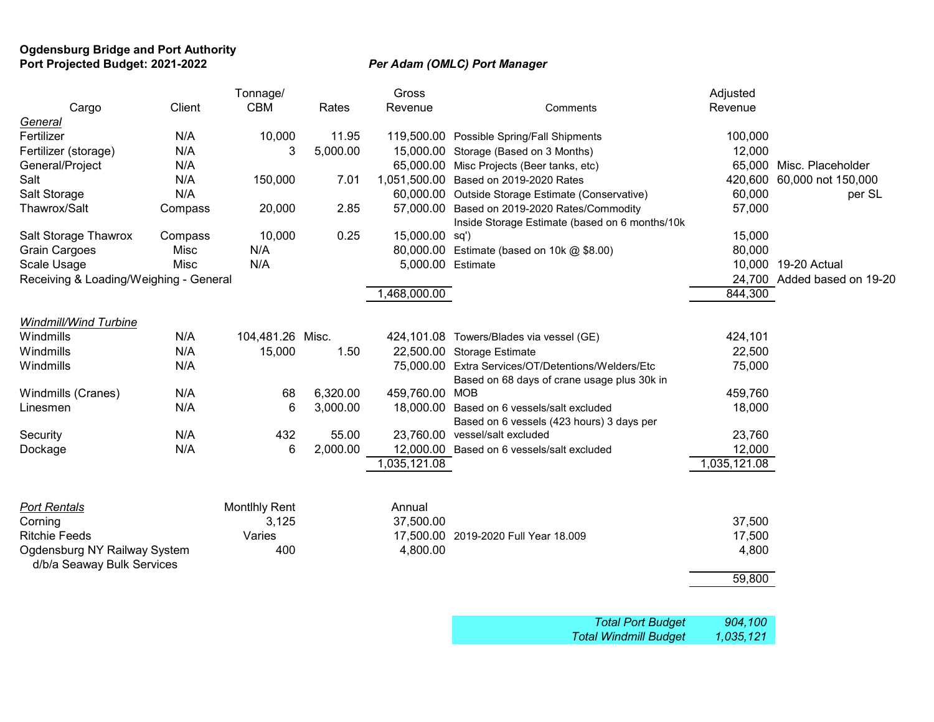### **Ogdensburg Bridge and Port Authority Port Projected Budget: 2021-2022** *Per Adam (OMLC) Port Manager*

|                                        |         | Tonnage/             |          | Gross             |                                                                                                   | Adjusted     |                             |
|----------------------------------------|---------|----------------------|----------|-------------------|---------------------------------------------------------------------------------------------------|--------------|-----------------------------|
| Cargo                                  | Client  | <b>CBM</b>           | Rates    | Revenue           | Comments                                                                                          | Revenue      |                             |
| General                                |         |                      |          |                   |                                                                                                   |              |                             |
| Fertilizer                             | N/A     | 10,000               | 11.95    |                   | 119,500.00 Possible Spring/Fall Shipments                                                         | 100,000      |                             |
| Fertilizer (storage)                   | N/A     | 3                    | 5,000.00 |                   | 15,000.00 Storage (Based on 3 Months)                                                             | 12,000       |                             |
| General/Project                        | N/A     |                      |          |                   | 65,000.00 Misc Projects (Beer tanks, etc)                                                         |              | 65,000 Misc. Placeholder    |
| Salt                                   | N/A     | 150,000              | 7.01     |                   | 1,051,500.00 Based on 2019-2020 Rates                                                             | 420,600      | 60,000 not 150,000          |
| Salt Storage                           | N/A     |                      |          |                   | 60,000.00 Outside Storage Estimate (Conservative)                                                 | 60,000       | per SL                      |
| Thawrox/Salt                           | Compass | 20,000               | 2.85     |                   | 57,000.00 Based on 2019-2020 Rates/Commodity<br>Inside Storage Estimate (based on 6 months/10k    | 57,000       |                             |
| Salt Storage Thawrox                   | Compass | 10,000               | 0.25     | 15,000.00 sq')    |                                                                                                   | 15,000       |                             |
| <b>Grain Cargoes</b>                   | Misc    | N/A                  |          |                   | 80,000.00 Estimate (based on 10k @ \$8.00)                                                        | 80,000       |                             |
| Scale Usage                            | Misc    | N/A                  |          | 5,000.00 Estimate |                                                                                                   |              | 10,000 19-20 Actual         |
| Receiving & Loading/Weighing - General |         |                      |          |                   |                                                                                                   |              | 24,700 Added based on 19-20 |
|                                        |         |                      |          | 1,468,000.00      |                                                                                                   | 844,300      |                             |
|                                        |         |                      |          |                   |                                                                                                   |              |                             |
| Windmill/Wind Turbine                  |         |                      |          |                   |                                                                                                   |              |                             |
| Windmills                              | N/A     | 104,481.26 Misc.     |          |                   | 424,101.08 Towers/Blades via vessel (GE)                                                          | 424,101      |                             |
| Windmills                              | N/A     | 15,000               | 1.50     |                   | 22,500.00 Storage Estimate                                                                        | 22,500       |                             |
| Windmills                              | N/A     |                      |          |                   | 75,000.00 Extra Services/OT/Detentions/Welders/Etc<br>Based on 68 days of crane usage plus 30k in | 75,000       |                             |
| Windmills (Cranes)                     | N/A     | 68                   | 6,320.00 | 459,760.00 MOB    |                                                                                                   | 459,760      |                             |
| Linesmen                               | N/A     | 6                    | 3,000.00 |                   | 18,000.00 Based on 6 vessels/salt excluded                                                        | 18,000       |                             |
|                                        |         |                      |          |                   | Based on 6 vessels (423 hours) 3 days per                                                         |              |                             |
| Security                               | N/A     | 432                  | 55.00    |                   | 23,760.00 vessel/salt excluded                                                                    | 23,760       |                             |
| Dockage                                | N/A     | 6                    | 2,000.00 |                   | 12,000.00 Based on 6 vessels/salt excluded                                                        | 12,000       |                             |
|                                        |         |                      |          | 1,035,121.08      |                                                                                                   | 1,035,121.08 |                             |
|                                        |         |                      |          |                   |                                                                                                   |              |                             |
| <b>Port Rentals</b>                    |         | <b>Montihly Rent</b> |          | Annual            |                                                                                                   |              |                             |
| Corning                                |         | 3,125                |          | 37,500.00         |                                                                                                   | 37,500       |                             |
| <b>Ritchie Feeds</b>                   |         | Varies               |          |                   | 17,500.00 2019-2020 Full Year 18.009                                                              | 17,500       |                             |
| Ogdensburg NY Railway System           |         | 400                  |          | 4,800.00          |                                                                                                   | 4,800        |                             |
| d/b/a Seaway Bulk Services             |         |                      |          |                   |                                                                                                   |              |                             |
|                                        |         |                      |          |                   |                                                                                                   | 59,800       |                             |
|                                        |         |                      |          |                   |                                                                                                   |              |                             |
|                                        |         |                      |          |                   |                                                                                                   |              |                             |

| <b>Total Port Budget</b>     | 904,100   |
|------------------------------|-----------|
| <b>Total Windmill Budget</b> | 1,035,121 |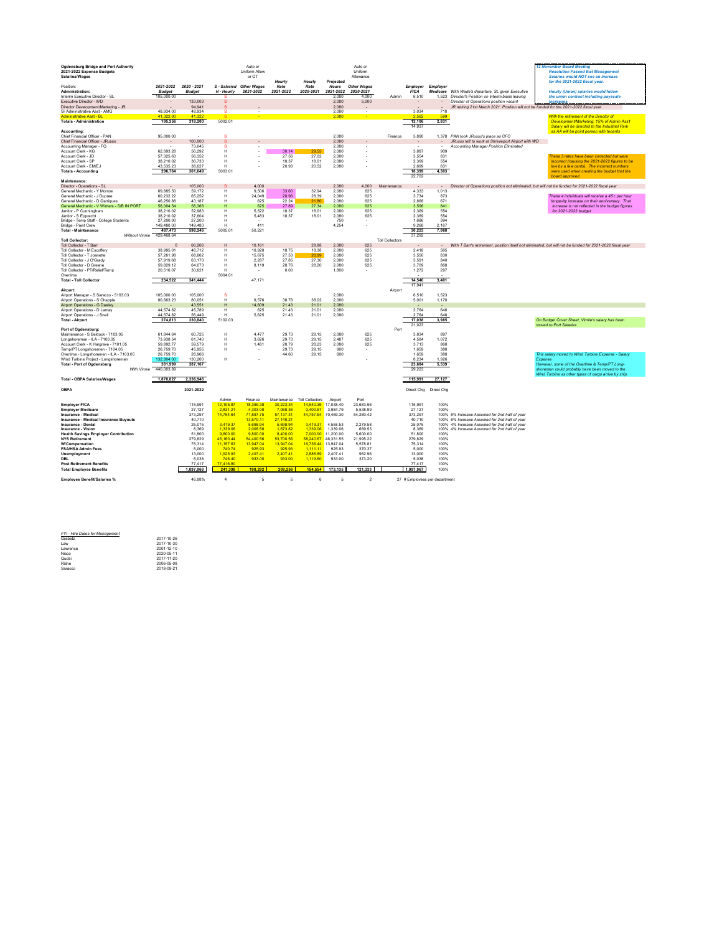| <b>Ogdensburg Bridge and Port Authority</b>                              |                        |                  |                          | Auto or              |                      |                        |                       | Auto or            |                        |                               |                          |                                                                                                  | <b>12 November Board Meeting</b>                                                                          |
|--------------------------------------------------------------------------|------------------------|------------------|--------------------------|----------------------|----------------------|------------------------|-----------------------|--------------------|------------------------|-------------------------------|--------------------------|--------------------------------------------------------------------------------------------------|-----------------------------------------------------------------------------------------------------------|
| 2021-2022 Expense Budgets                                                |                        |                  |                          | Uniform Allow        |                      |                        |                       | Uniform            |                        |                               |                          |                                                                                                  | <b>Resolution Passed that Management</b>                                                                  |
| Salaries/Wages                                                           |                        |                  |                          | or OT                |                      |                        |                       | Allowance          |                        |                               |                          |                                                                                                  | Salaries would NOT see an increase                                                                        |
|                                                                          |                        |                  |                          |                      | Hourly               | Hourly                 | Projected             |                    |                        |                               |                          |                                                                                                  | for the 2021-2022 fiscal year.                                                                            |
| Position:                                                                | 2021-2022 2020 - 2021  |                  | S - Salaried Other Wages |                      | Rate                 | Rate                   | Hours                 | <b>Other Wages</b> |                        | <b>Employer Employer</b>      |                          |                                                                                                  |                                                                                                           |
| Administration:                                                          | <b>Budget</b>          | <b>Budget</b>    | H - Hourly               | 2021-2022            | 2021-2022            | 2020-2021              | 2021-2022             | 2020-2021          |                        | <b>FICA</b>                   | Medicare                 | With Wade's departure. SL given Executive                                                        | Hourly (Union) salaries would follow                                                                      |
| Interim Executive Director - SL                                          | 105,000.00             |                  |                          |                      |                      |                        | 2.080                 | 4.000              | Admin                  | 6.510                         |                          | 1.523 Director's Position on Interim basis leaving                                               | the union contract including payscale                                                                     |
| Executive Director - WD                                                  |                        | 133,003          |                          |                      |                      |                        | 2,080                 | 5,000              |                        |                               |                          | Director of Operations position vacant                                                           | <b>Increases</b>                                                                                          |
| Director Development/Marketing - JR                                      |                        | 94.941           | s                        |                      |                      |                        | 2.080                 |                    |                        |                               | $\overline{\phantom{a}}$ | JR retiring 21st March 2021. Position will not be funded for the 2021-2022 fiscal year           |                                                                                                           |
| Sr Administrative Asst - AMG<br><b>Administrative Asst - BL</b>          | 48.934.00<br>41 322 01 | 48,934<br>41.32  | s                        |                      |                      |                        | 2,080<br>2.080        |                    |                        | 3.034<br>2.562                | 710<br>599               |                                                                                                  |                                                                                                           |
|                                                                          |                        |                  |                          |                      |                      |                        |                       |                    |                        |                               |                          |                                                                                                  | With the retirement of the Director of                                                                    |
| <b>Totals - Administration</b>                                           | 195,256                | 318,200          | 5002.01                  |                      |                      |                        |                       |                    |                        | 12,106<br>14,937              | 2,831                    |                                                                                                  | Development/Marketing, 15% of Admin Ass't<br>Salary will be directed to the Industrial Park               |
| Accounting:                                                              |                        |                  |                          |                      |                      |                        |                       |                    |                        |                               |                          |                                                                                                  | as AA will be point person with tenants                                                                   |
| Chief Financial Officer - PAN                                            | 95,000.00              |                  | s                        |                      |                      |                        | 2,080                 |                    | Finance                | 5,890                         |                          | 1,378 PAN took JRusso's place as CFO                                                             |                                                                                                           |
| Chief Financial Officer - JRusso                                         | $\sim$                 | 100,000          | s                        |                      |                      |                        | 2.080                 |                    |                        | $\sim$                        | $\sim$                   | JRusso left to work at Shreveport Airport with WD                                                |                                                                                                           |
| Accounting Manager - FQ                                                  |                        | 73,045           | s                        |                      |                      |                        | 2,080                 |                    |                        |                               |                          | Accounting Manager Position Eliminated                                                           |                                                                                                           |
| Account Clerk - KG                                                       | 62.693.28              | 56 292           | н                        |                      | 30.14                | 29.55                  | 2.080                 |                    |                        | 3.887                         | 909                      |                                                                                                  |                                                                                                           |
| Account Clerk - JD                                                       | 57.325.63              | 56.352           | н                        |                      | 27.56                | 27.02                  | 2.080                 |                    |                        | 3.554                         | 831                      |                                                                                                  | These 3 rates have been corrected but were                                                                |
| Account Clerk - SP                                                       | 38.210.02              | 36 733           | н                        |                      | 18.37                | 18.01                  | 2,080                 |                    |                        | 2.369                         | 554                      |                                                                                                  | incorrect (causing the 2021-2022 figures to be                                                            |
| Account Clerk - FM/F.I                                                   | 43.535.23              | 38 627           | н                        |                      | 20.93                | 20.52                  | 2.080                 |                    |                        | 2.699                         | 631                      |                                                                                                  | low by a few cents). The incorrect numbers                                                                |
| <b>Totals - Accounting</b>                                               | 296,764                | 361,049          | 5003.01                  |                      |                      |                        |                       |                    |                        | 18,399                        | 4,303                    |                                                                                                  | were used when creating the budget that the                                                               |
|                                                                          |                        |                  |                          |                      |                      |                        |                       |                    |                        | 22702                         |                          |                                                                                                  | hoard annrovad                                                                                            |
| Maintenance:                                                             |                        |                  |                          |                      |                      |                        |                       |                    |                        |                               |                          |                                                                                                  |                                                                                                           |
| Director - Operations - SL                                               |                        | 105,000          | s                        | 4,000                |                      |                        | 2,080                 | 4,000              | Maintenance            |                               |                          | Director of Operations position not eliminated, but will not be funded for 2021-2022 fiscal year |                                                                                                           |
| General Mechanic - Y Morroy                                              | 69 885 50              | 59 172           | н                        | 9.506                | 33.60                | 32.94                  | 2.080                 | 625                |                        | 4.333                         | 1.013                    |                                                                                                  |                                                                                                           |
| General Mechanic - J Dupree                                              | 60.232.22              | 65.252           | H<br>н                   | 24.049               | 28.96                | 28.39<br>21.80         | 2.080<br>2.080        | 625<br>625         |                        | 3.734<br>2868                 | 873<br>671               |                                                                                                  | These 4 individuals will receive a 45 c per hour                                                          |
| General Mechanic - D Garrigues                                           | 46.250.88<br>58.004.54 | 43 187<br>58.368 |                          | 625<br>625           | 22.24<br>27.89       |                        | 2.080                 | 625                |                        |                               | 841                      |                                                                                                  | Innoevity increase on their anniversary That                                                              |
| General Mechanic - V Winters - S/B IN PORT<br>Janitor - P Cunningham     | 38 210 02              | 52 983           | H<br>н                   | 5522                 | 18.37                | 27.34<br>18.01         | 2.080                 | 625                |                        | 3,596<br>2.369                | 554                      |                                                                                                  | increase is not reflected in the budget figures<br>for 2021-2022 budget                                   |
| Janitor - S Epprecht                                                     | 38,210.02              | 37,604           | н                        | 5,483                | 18.37                | 18.01                  | 2,080                 | 625                |                        | 2,369                         | 554                      |                                                                                                  |                                                                                                           |
| Bridge - Temp Staff - College Students                                   | 27,200.00              | 27,200           | H                        |                      |                      |                        | 750                   | $\sim$             |                        | 1.686                         | 394                      |                                                                                                  |                                                                                                           |
| Bridge - Paint Crew                                                      | 149,480.00             | 149,480          | H                        | 411                  |                      |                        | 4,254                 |                    |                        | 9,268                         | 2,167                    |                                                                                                  |                                                                                                           |
| <b>Total - Maintenance</b>                                               | 487,473                | 598,246          | 5005.01                  | 50,221               |                      |                        |                       |                    |                        | 30,223                        | 7,068                    |                                                                                                  |                                                                                                           |
| Without Vinnie 429,468.64                                                |                        |                  |                          |                      |                      |                        |                       |                    |                        | 37.292                        |                          |                                                                                                  |                                                                                                           |
| <b>Toll Collector:</b>                                                   |                        |                  |                          |                      |                      |                        |                       |                    | <b>Toll Collectors</b> |                               |                          |                                                                                                  |                                                                                                           |
| Toll Collector - T Barr                                                  | $\Omega$               | 66.206           | H                        | 10.161               |                      | 28.88                  | 2080                  | 625                |                        |                               | $\sim$                   |                                                                                                  | With T Ban's retirement, position itself not eliminated, but will not be funded for 2021-2022 fiscal year |
| Toll Collector - M Escoffery                                             | 38,995.01              | 48,712           | н                        | 10,928               | 18.75                | 18.38                  | 2,080                 | 625                |                        | 2,418                         | 565                      |                                                                                                  |                                                                                                           |
| Toll Collector - T Joanette                                              | 57.261.98              | 68.662           | H                        | 15.675               | 27.53                | 26.99                  | 2.080                 | 625                |                        | 3.550                         | 830                      |                                                                                                  |                                                                                                           |
| Toll Collector - J O'Grady                                               | 57.919.68              | 63.170           | н                        | 2287                 | 2785                 | 27.30                  | 2.080                 | 625                |                        | 3,591                         | 840                      |                                                                                                  |                                                                                                           |
| Toll Collector - D Greene                                                | 59.829.12              | 64.073           | н                        | 8,119                | 28.76                | 28.20                  | 2.080                 | 625                |                        | 3,709                         | 868                      |                                                                                                  |                                                                                                           |
| Toll Collector - PT/Relief/Temp                                          | 20,516.07              | 30,621           | н                        |                      | 0.00                 |                        | 1.800                 | i.                 |                        | 1,272                         | 297                      |                                                                                                  |                                                                                                           |
| Overtime<br><b>Total - Toll Collector</b>                                | 234.522                | 341,444          | 5004.01                  | 47.171               |                      |                        |                       |                    |                        | 14.540                        |                          |                                                                                                  |                                                                                                           |
|                                                                          |                        |                  |                          |                      |                      |                        |                       |                    |                        | 17,941                        | 3,401                    |                                                                                                  |                                                                                                           |
| Airport:                                                                 |                        |                  |                          |                      |                      |                        |                       |                    | Airport                |                               |                          |                                                                                                  |                                                                                                           |
| Airport Manager - S Saracco - 5103.03                                    | 105,000.00             | 105,000          | s                        |                      |                      |                        | 2,080                 |                    |                        | 6,510                         | 1,523                    |                                                                                                  |                                                                                                           |
| Airport Operations - S Chapple                                           | 80,663.23              | 80,051           | н                        | 9,576                | 38.78                | 38.02                  | 2,080                 |                    |                        | 5,001                         | 1,170                    |                                                                                                  |                                                                                                           |
| Airport Operations - G Dawley                                            |                        | 43 551           | H                        | 14,609               | 21.43                | 21.01                  | 2.080                 |                    |                        |                               |                          |                                                                                                  |                                                                                                           |
| Airport Operations - D Lamay                                             | 44,574.82              | 45.789           | н                        | 625                  | 21.43                | 21.01                  | 2.080                 |                    |                        | 2,764                         | 646                      |                                                                                                  |                                                                                                           |
| Airport Operations - J Snell                                             | 44.574.82              | 56.449           | H                        | 5.625                | 21.43                | 21.01                  | 2.080                 |                    |                        | 2.764                         | 646                      |                                                                                                  |                                                                                                           |
| <b>Total - Airport</b>                                                   | 274.813                | 330,840          | 5102.03                  |                      |                      |                        |                       |                    |                        | 17,038                        | 3,985                    |                                                                                                  | On Budget Cover Sheet, Vinnie's salary has been                                                           |
|                                                                          |                        |                  |                          |                      |                      |                        |                       |                    |                        | 21.023                        |                          |                                                                                                  | moved to Port Salaries                                                                                    |
| Port of Oadensburg:                                                      |                        |                  |                          |                      |                      |                        |                       |                    | Port                   |                               |                          |                                                                                                  |                                                                                                           |
| Maintenance - S Beldock - 7103.05                                        | 6184464                | 60 725           | н                        | 4.477                | 2973                 | 29.15                  | 2,080                 | 625                |                        | 3.834                         | 897                      |                                                                                                  |                                                                                                           |
| Longshoreman - ILA - 7103.05                                             | 73 938 54              | 61 740           | н                        | 3.626                | 29.73                | 29.15                  | 2.487                 | 625                |                        | 4584                          | 1.072                    |                                                                                                  |                                                                                                           |
| Account Clerk - K Hargrave - 7101.05<br>Temn/PT   ongshoremen - 7104 05  | 59 892 77<br>26 759 70 | 59 579<br>45 955 | н<br>н                   | 1,481                | 28.79<br>2973        | 28.23<br>29 15         | 2,080<br>900          | 625                |                        | 3,713<br>1.659                | 868<br>388               |                                                                                                  |                                                                                                           |
| Overtime - Longshoremen - ILA - 7103.05                                  | 26,759.70              | 28,968           |                          |                      | 44.60                | 29.15                  | 600                   |                    |                        | 1,659                         | 388                      |                                                                                                  | This salary moved to Wind Turbine Expense - Salary                                                        |
| Wind Turbine Project - Longshoremen                                      | 132 804 00             | 130,200          | н                        |                      |                      |                        |                       |                    |                        | 8,234                         | 1,926                    |                                                                                                  | Expense                                                                                                   |
| <b>Total - Port of Ogdensburg</b>                                        | 381,999                | 387.167          |                          |                      |                      |                        |                       |                    |                        | 23,684                        | 5.539                    |                                                                                                  | However, some of the Overtime & Temp/PT Long-                                                             |
| With Vinnie                                                              | 440,003.89             |                  |                          |                      |                      |                        |                       |                    |                        | 29.223                        |                          |                                                                                                  | shoremen could probably have been moved to the                                                            |
|                                                                          |                        |                  |                          |                      |                      |                        |                       |                    |                        |                               |                          |                                                                                                  | Wind Turbine as other types of cargo arrive by ship                                                       |
| <b>Total - OBPA Salaries/Wages</b>                                       | 1,870,827              | 2,336,946        |                          |                      |                      |                        |                       |                    |                        | 115,991                       | 27,127                   |                                                                                                  |                                                                                                           |
|                                                                          |                        |                  |                          |                      |                      |                        |                       |                    |                        |                               |                          |                                                                                                  |                                                                                                           |
| <b>OBPA</b>                                                              |                        | 2021-2022        |                          |                      |                      |                        |                       |                    |                        | Direct Cha Direct Cha         |                          |                                                                                                  |                                                                                                           |
|                                                                          |                        |                  |                          |                      |                      |                        |                       |                    |                        |                               |                          |                                                                                                  |                                                                                                           |
|                                                                          |                        |                  | Admin                    | Finance              | Maintenance          | <b>Toll Collectors</b> | Airport               | Port               |                        |                               |                          |                                                                                                  |                                                                                                           |
| <b>Employer FICA</b>                                                     |                        | 115 991          | 12 105 8                 | 18 399 38            | 30,223.34            | 14 540 36              | 17 038 40             | 23.683.96          |                        | 115 991                       | 100%                     |                                                                                                  |                                                                                                           |
| <b>Employer Medicare</b>                                                 |                        | 27,127           | 2,831.21                 | 4,303.08             | 7.068.36             | 3,400.57               | 3,984.79              | 5,538.99           |                        | 27,127                        | 100%                     |                                                                                                  |                                                                                                           |
| Insurance - Medical                                                      |                        | 373,297          | 74,754.64                | 7189775              | 57.137.31            | 44,757.54 70,469.30    |                       | 54,280.42          |                        | 373.297                       |                          | 100% 6% Increase Assumed for 2nd half of year                                                    |                                                                                                           |
| <b>Insurance - Medical Insurance Buyouts</b>                             |                        | 40,710           |                          | 13,570.11            | 27,140.21            |                        |                       |                    |                        | 40,710                        |                          | 100% 6% Increase Assumed for 2nd half of year                                                    |                                                                                                           |
| Insurance - Dental                                                       |                        | 25,075           | 3,419.37<br>1.339.06     | 5,698.94<br>2.008.58 | 5,698.94<br>1 673 82 | 3,419.37<br>1.339.06   | 4,558.53              | 2,279.58<br>669.53 |                        | 25,075<br>8.369               |                          | 100% 4% Increase Assumed for 2nd half of year                                                    |                                                                                                           |
| <b>Insurance - Vision</b><br><b>Health Savings Employer Contribution</b> |                        | 8.369<br>51,800  | 9,800.00                 | 9,800.00             | 8,400.00             | 7,000.00               | 1,339.06<br>11,200.00 | 5,600.00           |                        | 51,800                        | 100%                     | 100% 4% Increase Assumed for 2nd half of year                                                    |                                                                                                           |
| <b>NYS Retirement</b>                                                    |                        | 279.829          | 45,160.44                | 54 400 56            | 53,700.56            | 58.240.67              | 46 331 55             | 21 995 22          |                        | 279829                        | 100%                     |                                                                                                  |                                                                                                           |
| W/Compensation                                                           |                        | 75.314           | 11,157.63                | 13,947.04            | 13,947.04            | 16,736.44              | 13,947.04             | 5,578.81           |                        | 75,314                        | 100%                     |                                                                                                  |                                                                                                           |
| <b>FSA/HSA Admin Fees</b>                                                |                        | 5.000            | 740.74                   | 925.93               | 925.93               | 1 111 11               | 925.93                | 370.37             |                        | 5.000                         | 100%                     |                                                                                                  |                                                                                                           |
| Unemployment                                                             |                        | 13,000           | 1,925.93                 | 2,407.41             | 2,407.41             | 2.888.89               | 2,407.41              | 962.96             |                        | 13,000                        | 100%                     |                                                                                                  |                                                                                                           |
| DBL                                                                      |                        | 5,038            | 746.40                   | 933.00               | 933.00               | 1,119.60               | 933.00                | 373.20             |                        | 5,038                         | 100%                     |                                                                                                  |                                                                                                           |
| <b>Post Retirement Benefits</b>                                          |                        | 77 417           | 77.416.80                |                      |                      |                        |                       |                    |                        | 77.417                        | 100%                     |                                                                                                  |                                                                                                           |
| <b>Total Employee Benefits</b>                                           |                        | 1.097.968        | 241.398                  | 198.292              | 209,256              | 154,554                | 173,135               | 121.333            |                        | 1.097.967                     | 100%                     |                                                                                                  |                                                                                                           |
|                                                                          |                        |                  |                          |                      |                      |                        |                       |                    |                        |                               |                          |                                                                                                  |                                                                                                           |
| Employee Benefit/Salaries %                                              |                        | 46,98%           | $\Delta$                 | 5                    | 5                    | $\mathbf{6}$           | 5                     | $\overline{2}$     |                        | 27 # Employees per department |                          |                                                                                                  |                                                                                                           |
|                                                                          |                        |                  |                          |                      |                      |                        |                       |                    |                        |                               |                          |                                                                                                  |                                                                                                           |
|                                                                          |                        |                  |                          |                      |                      |                        |                       |                    |                        |                               |                          |                                                                                                  |                                                                                                           |

| FYI - Hire Dates for Management |            |
|---------------------------------|------------|
| Grahetz                         | 2017-10-26 |
| Law                             | 2017-10-30 |
| Lawrence                        | 2001-12-10 |
| Nisco                           | 2020-05-11 |
| Qudsi                           | 2017-11-20 |
| Rishe                           | 2006-05-08 |
| Saracco                         | 2018-09-21 |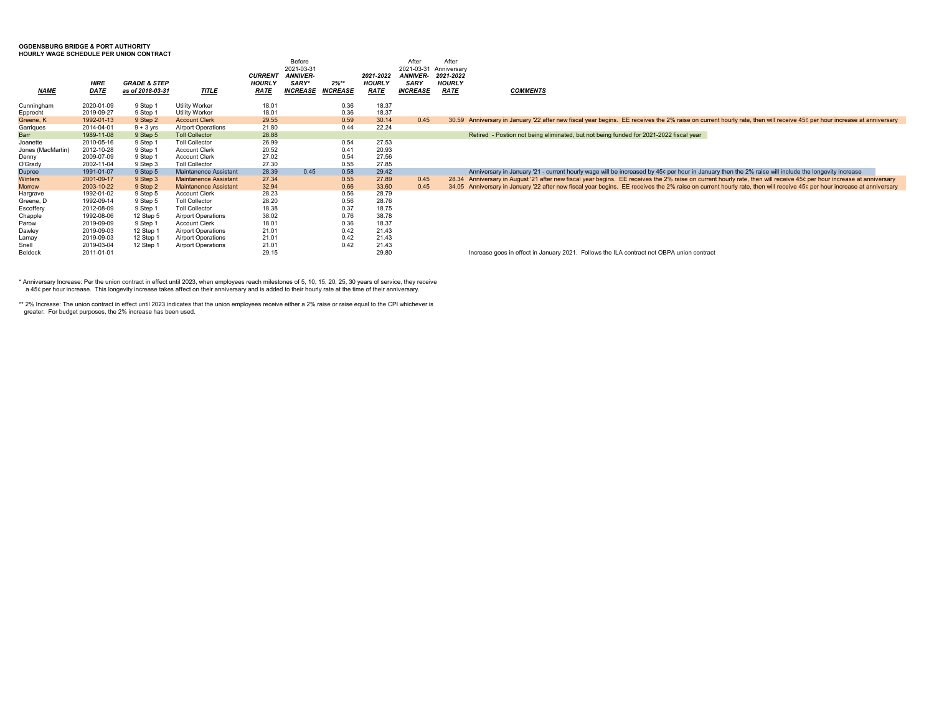#### **OGDENSBURG BRIDGE & PORT AUTHORITY**

**HOURLY WAGE SCHEDULE PER UNION CONTRACT**

|                        | <b>HIRE</b>              | <b>GRADE &amp; STEP</b> |                                                | <b>CURRENT</b><br><b>HOURLY</b> | Before<br>2021-03-31<br><b>ANNIVER-</b><br>SARY* | $2\%***$        | 2021-2022<br><b>HOURLY</b> | After<br>2021-03-31<br><b>ANNIVER-</b><br><b>SARY</b> | After<br>Anniversary<br>2021-2022<br><b>HOURLY</b> |                                                                                                                                                                        |
|------------------------|--------------------------|-------------------------|------------------------------------------------|---------------------------------|--------------------------------------------------|-----------------|----------------------------|-------------------------------------------------------|----------------------------------------------------|------------------------------------------------------------------------------------------------------------------------------------------------------------------------|
| <b>NAME</b>            | DATE                     | as of 2018-03-31        | TITLE                                          | <b>RATE</b>                     | INCREASE                                         | <b>INCREASE</b> | <b>RATE</b>                | <b>INCREASE</b>                                       | <b>RATE</b>                                        | <b>COMMENTS</b>                                                                                                                                                        |
| Cunningham<br>Epprecht | 2020-01-09<br>2019-09-27 | 9 Step 1<br>9 Step 1    | <b>Utility Worker</b><br><b>Utility Worker</b> | 18.01<br>18.01                  |                                                  | 0.36<br>0.36    | 18.37<br>18.37             |                                                       |                                                    |                                                                                                                                                                        |
| Greene, K              | 1992-01-13               | 9 Step 2                | <b>Account Clerk</b>                           | 29.55                           |                                                  | 0.59            | 30.14                      | 0.45                                                  |                                                    | 30.59 Anniversary in January '22 after new fiscal year begins. EE receives the 2% raise on current hourly rate, then will receive 45¢ per hour increase at anniversary |
| Garrigues              | 2014-04-01               | $9 + 3$ yrs             | <b>Airport Operations</b>                      | 21.80                           |                                                  | 0.44            | 22.24                      |                                                       |                                                    |                                                                                                                                                                        |
| Barr                   | 1989-11-08               | 9 Step 5                | <b>Toll Collector</b>                          | 28.88                           |                                                  |                 |                            |                                                       |                                                    | Retired - Postion not being eliminated, but not being funded for 2021-2022 fiscal year                                                                                 |
| Joanette               | 2010-05-16               | 9 Step 1                | <b>Toll Collector</b>                          | 26.99                           |                                                  | 0.54            | 27.53                      |                                                       |                                                    |                                                                                                                                                                        |
| Jones (MacMartin       | 2012-10-28               | 9 Step 1                | <b>Account Clerk</b>                           | 20.52                           |                                                  | 0.41            | 20.93                      |                                                       |                                                    |                                                                                                                                                                        |
| Denny                  | 2009-07-09               | 9 Step 1                | <b>Account Clerk</b>                           | 27.02                           |                                                  | 0.54            | 27.56                      |                                                       |                                                    |                                                                                                                                                                        |
| O'Grady                | 2002-11-04               | 9 Step 3                | <b>Toll Collector</b>                          | 27.30                           |                                                  | 0.55            | 27.85                      |                                                       |                                                    |                                                                                                                                                                        |
| Dupree                 | 1991-01-07               | 9 Step 5                | Maintanence Assistant                          | 28.39                           | 0.45                                             | 0.58            | 29.42                      |                                                       |                                                    | Anniversary in January '21 - current hourly wage will be increased by 45¢ per hour in January then the 2% raise will include the longevity increase                    |
| Winters                | 2001-09-17               | 9 Step 3                | <b>Maintanence Assistant</b>                   | 27.34                           |                                                  | 0.55            | 27.89                      | 0.45                                                  |                                                    | 28.34 Anniversary in August '21 after new fiscal year begins. EE receives the 2% raise on current hourly rate, then will receive 45¢ per hour increase at anniversary  |
| Morrow                 | 2003-10-22               | 9 Step 2                | <b>Maintanence Assistant</b>                   | 32.94                           |                                                  | 0.66            | 33.60                      | 0.45                                                  |                                                    | 34.05 Anniversary in January '22 after new fiscal year begins. EE receives the 2% raise on current hourly rate, then will receive 45¢ per hour increase at anniversary |
| Hargrave               | 1992-01-02               | 9 Step 5                | <b>Account Clerk</b>                           | 28.23                           |                                                  | 0.56            | 28.79                      |                                                       |                                                    |                                                                                                                                                                        |
| Greene. D              | 1992-09-14               | 9 Step 5                | <b>Toll Collector</b>                          | 28.20                           |                                                  | 0.56            | 28.76                      |                                                       |                                                    |                                                                                                                                                                        |
| Escoffery              | 2012-08-09               | 9 Step 1                | <b>Toll Collector</b>                          | 18.38                           |                                                  | 0.37            | 18.75                      |                                                       |                                                    |                                                                                                                                                                        |
| Chapple                | 1992-08-06               | 12 Step 5               | <b>Airport Operations</b>                      | 38.02                           |                                                  | 0.76            | 38.78                      |                                                       |                                                    |                                                                                                                                                                        |
| Parow                  | 2019-09-09               | 9 Step 1                | <b>Account Clerk</b>                           | 18.01                           |                                                  | 0.36            | 18.37                      |                                                       |                                                    |                                                                                                                                                                        |
| Dawlev                 | 2019-09-03               | 12 Step 1               | <b>Airport Operations</b>                      | 21.01                           |                                                  | 0.42            | 21.43                      |                                                       |                                                    |                                                                                                                                                                        |
| Lamay                  | 2019-09-03               | 12 Step 1               | <b>Airport Operations</b>                      | 21.01                           |                                                  | 0.42            | 21.43                      |                                                       |                                                    |                                                                                                                                                                        |
| Snell                  | 2019-03-04               | 12 Step 1               | <b>Airport Operations</b>                      | 21.01                           |                                                  | 0.42            | 21.43                      |                                                       |                                                    |                                                                                                                                                                        |
| Beldock                | 2011-01-01               |                         |                                                | 29.15                           |                                                  |                 | 29.80                      |                                                       |                                                    | Increase goes in effect in January 2021. Follows the ILA contract not OBPA union contract                                                                              |

\* Anniversary Increase: Per the union contract in effect until 2023, when employees reach milestones of 5, 10, 15, 20, 25, 30 years of service, they receive<br>A 45¢ per hour increase. This longevity increase takes affect on

\*\* 2% Increase: The union contract in effect until 2023 indicates that the union employees receive either a 2% raise or raise equal to the CPI whichever is greater. For budget purposes, the 2% increase has been used.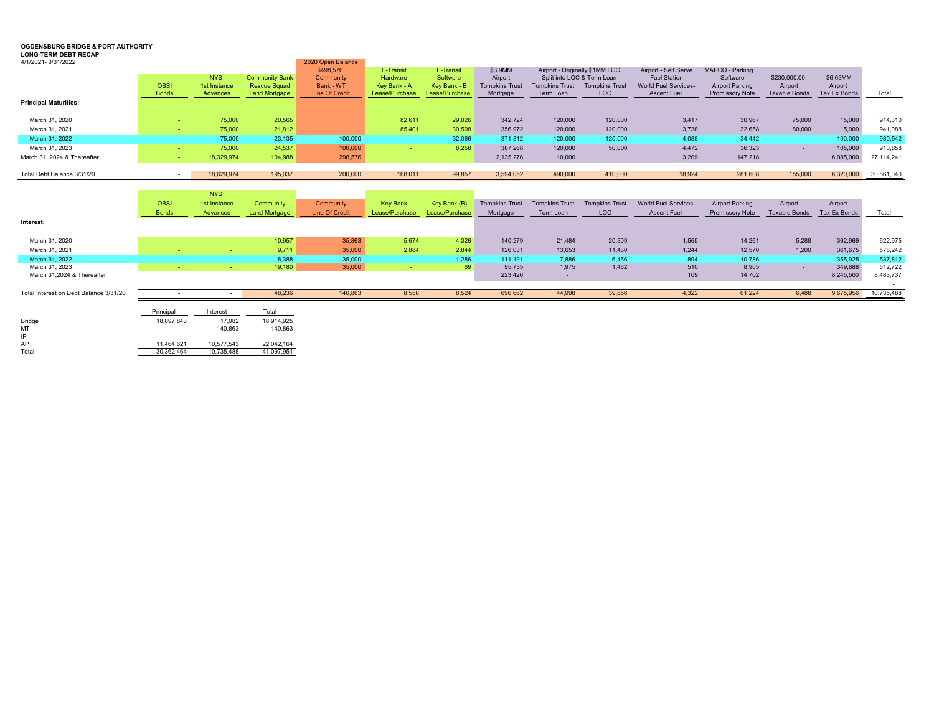#### **OGDENSBURG BRIDGE & PORT AUTHORITY**

#### **LONG-TERM DEBT RECAP**

| 4/1/2021-3/31/2022           |              |              |                       | 2020 Open Balance     |                |                |                       |                                |                       |                             |                        |                          |              |            |
|------------------------------|--------------|--------------|-----------------------|-----------------------|----------------|----------------|-----------------------|--------------------------------|-----------------------|-----------------------------|------------------------|--------------------------|--------------|------------|
|                              |              |              |                       | \$498,576             | E-Transit      | E-Transit      | \$3.9MM               | Airport - Originally \$1MM LOC |                       | Airport - Self Serve        | MAPCO - Parking        |                          |              |            |
|                              |              | <b>NYS</b>   | <b>Community Bank</b> | Community             | Hardware       | Software       | Airport               | Split into LOC & Term Loan     |                       | <b>Fuel Station</b>         | Software               | \$230,000.00             | \$6.63MM     |            |
|                              | <b>OBSI</b>  | 1st Instance | <b>Rescue Squad</b>   | Bank - WT             | Key Bank - A   | Key Bank - B   | <b>Tompkins Trust</b> | <b>Tompkins Trust</b>          | <b>Tompkins Trust</b> | <b>World Fuel Services-</b> | <b>Airport Parking</b> | Airport                  | Airport      |            |
|                              | <b>Bonds</b> | Advances     | Land Mortgage         | <b>Line Of Credit</b> | Lease/Purchase | Lease/Purchase | Mortgage              | Term Loan                      | <b>LOC</b>            | <b>Ascent Fuel</b>          | <b>Promissory Note</b> | <b>Taxable Bonds</b>     | Tax Ex Bonds | Total      |
| <b>Principal Maturities:</b> |              |              |                       |                       |                |                |                       |                                |                       |                             |                        |                          |              |            |
| March 31, 2020               |              | 75,000       | 20,565                |                       | 82,611         | 29,026         | 342,724               | 120,000                        | 120,000               | 3,417                       | 30,967                 | 75,000                   | 15,000       | 914,310    |
| March 31, 2021               |              | 75,000       | 21,812                |                       | 85,401         | 30,508         | 356,972               | 120,000                        | 120,000               | 3,738                       | 32,658                 | 80,000                   | 15,000       | 941,088    |
| March 31, 2022               |              | 75,000       | 23,135                | 100,000               |                | 32,066         | 371,812               | 120,000                        | 120,000               | 4,088                       | 34,442                 |                          | 100,000      | 980,542    |
| March 31, 2023               |              | 75,000       | 24,537                | 100,000               |                | 8.258          | 387,268               | 120,000                        | 50,000                | 4.472                       | 36,323                 | $\overline{\phantom{a}}$ | 105,000      | 910,858    |
| March 31, 2024 & Thereafter  |              | 18,329,974   | 104,988               | 298,576               |                |                | 2,135,276             | 10,000                         |                       | 3,209                       | 147,218                |                          | 6,085,000    | 27.114.241 |
|                              |              |              |                       |                       |                |                |                       |                                |                       |                             |                        |                          |              |            |
| Total Debt Balance 3/31/20   |              | 18,629,974   | 195,037               | 200,000               | 168,011        | 99,857         | 3,594,052             | 490,000                        | 410,000               | 18.924                      | 281,608                | 155,000                  | 6,320,000    | 30,861,040 |

|                                        |              | <b>NYS</b>   |                      |                       |                 |                |                       |                       |                       |                             |                        |                      |              |            |
|----------------------------------------|--------------|--------------|----------------------|-----------------------|-----------------|----------------|-----------------------|-----------------------|-----------------------|-----------------------------|------------------------|----------------------|--------------|------------|
|                                        | <b>OBSI</b>  | 1st Instance | Community            | Community             | <b>Key Bank</b> | Key Bank (B)   | <b>Tompkins Trust</b> | <b>Tompkins Trust</b> | <b>Tompkins Trust</b> | <b>World Fuel Services-</b> | <b>Airport Parking</b> | Airport              | Airport      |            |
|                                        | <b>Bonds</b> | Advances     | <b>Land Mortgage</b> | <b>Line Of Credit</b> | Lease/Purchase  | Lease/Purchase | Mortgage              | Term Loan             | LOC                   | <b>Ascent Fuel</b>          | <b>Promissory Note</b> | <b>Taxable Bonds</b> | Tax Ex Bonds | Total      |
| Interest:                              |              |              |                      |                       |                 |                |                       |                       |                       |                             |                        |                      |              |            |
|                                        |              |              |                      |                       |                 |                |                       |                       |                       |                             |                        |                      |              |            |
| March 31, 2020                         |              |              | 10,957               | 35,863                | 5.674           | 4,326          | 140.279               | 21,484                | 20,309                | 1,565                       | 14,261                 | 5,288                | 362,969      | 622,975    |
| March 31, 2021                         |              |              | 9,711                | 35,000                | 2.884           | 2.844          | 126,031               | 13,653                | 11,430                | 1,244                       | 12,570                 | 1,200                | 361,675      | 578,242    |
| March 31, 2022                         |              |              | 8.388                | 35,000                |                 | 1.286          | 111,191               | 7.886                 | 6.456                 | 894                         | 10,786                 | <b>CONTRACTOR</b>    | 355.925      | 537,812    |
| March 31, 2023                         |              |              | 19,180               | 35,000                |                 | 69             | 95,735                | 1,975                 | 1,462                 | 510                         | 8,905                  | $\sim$               | 349,888      | 512,722    |
| March 31.2024 & Thereafter             |              |              |                      |                       |                 |                | 223,426               | $\sim$                |                       | 109                         | 14,702                 |                      | 8,245,500    | 8,483,737  |
|                                        |              |              |                      |                       |                 |                |                       |                       |                       |                             |                        |                      |              |            |
| Total Interest on Debt Balance 3/31/20 |              |              | 48,236               | 140,863               | 8,558           | 8.524          | 696,662               | 44,998                | 39,656                | 4,322                       | 61,224                 | 6,488                | 9,675,956    | 10,735,488 |
|                                        |              |              |                      |                       |                 |                |                       |                       |                       |                             |                        |                      |              |            |

|        | Principal  | Interest   | Total      |
|--------|------------|------------|------------|
| Bridge | 18.897.843 | 17.082     | 18.914.925 |
| МT     |            | 140.863    | 140.863    |
| IP     |            |            | ۰          |
| AP     | 11.464.621 | 10.577.543 | 22.042.164 |
| Total  | 30.362.464 | 10.735.488 | 41.097.951 |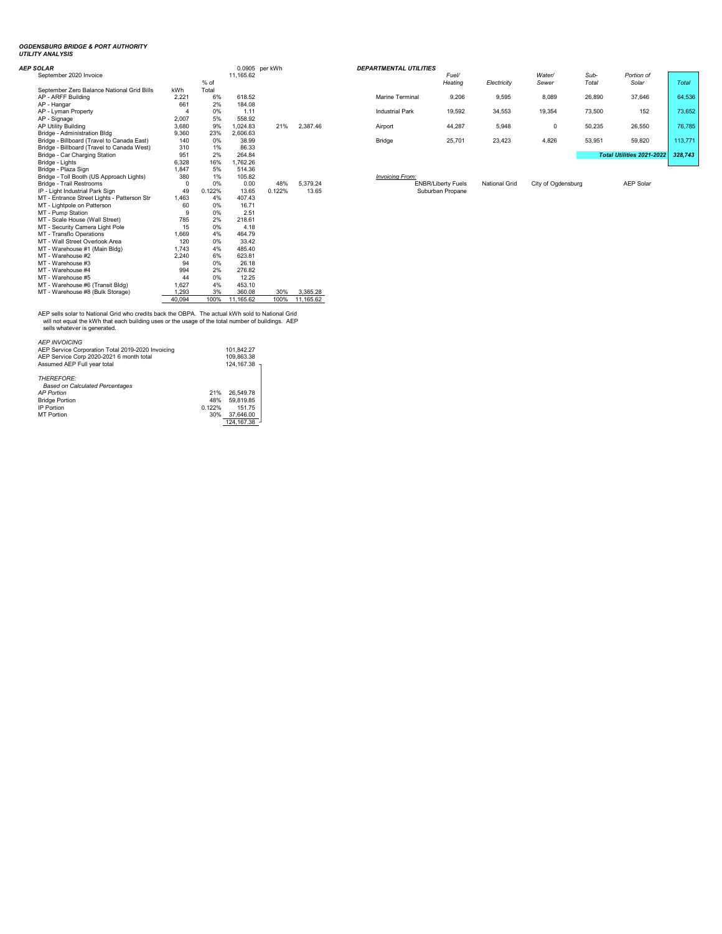# *OGDENSBURG BRIDGE & PORT AUTHORITY UTILITY ANALYSIS*

| <b>AEP SOLAR</b>                            |                   |        |           | 0.0905 per kWh |          | <b>DEPARTMENTAL UTILITIES</b> |                           |                      |                    |        |                             |
|---------------------------------------------|-------------------|--------|-----------|----------------|----------|-------------------------------|---------------------------|----------------------|--------------------|--------|-----------------------------|
| September 2020 Invoice                      |                   |        | 11.165.62 |                |          |                               | Fuel/                     |                      | Water/             | Sub-   | Portion of                  |
|                                             |                   | % of   |           |                |          |                               | Heating                   | Electricity          | Sewer              | Total  | Solar                       |
| September Zero Balance National Grid Bills  | kWh               | Total  |           |                |          |                               |                           |                      |                    |        |                             |
| AP - ARFF Building                          | 2.221             | 6%     | 618.52    |                |          | <b>Marine Terminal</b>        | 9,206                     | 9,595                | 8,089              | 26,890 | 37.646                      |
| AP - Hangar                                 | 661               | 2%     | 184.08    |                |          |                               |                           |                      |                    |        |                             |
| AP - Lyman Property                         |                   | 0%     | 1.11      |                |          | <b>Industrial Park</b>        | 19,592                    | 34,553               | 19,354             | 73,500 | 152                         |
| AP - Signage                                | 2.007             | 5%     | 558.92    |                |          |                               |                           |                      |                    |        |                             |
| AP Utility Building                         | 3,680             | 9%     | 1.024.83  | 21%            | 2,387.46 | Airport                       | 44,287                    | 5,948                | 0                  | 50,235 | 26,550                      |
| Bridge - Administration Bldg                | 9,360             | 23%    | 2.606.63  |                |          |                               |                           |                      |                    |        |                             |
| Bridge - Billboard (Travel to Canada East)  | 140               | 0%     | 38.99     |                |          | Bridge                        | 25,701                    | 23,423               | 4,826              | 53,951 | 59,820                      |
| Bridge - Billboard (Travel to Canada West)  | 310               | 1%     | 86.33     |                |          |                               |                           |                      |                    |        |                             |
| Bridge - Car Charging Station               | 951               | 2%     | 264.84    |                |          |                               |                           |                      |                    |        | <b>Total Utilities 2021</b> |
| Bridge - Lights                             | 6,328             | 16%    | 1.762.26  |                |          |                               |                           |                      |                    |        |                             |
| Bridge - Plaza Sign                         | 1,847             | 5%     | 514.36    |                |          |                               |                           |                      |                    |        |                             |
| Bridge - Toll Booth (US Approach Lights)    | 380               | 1%     | 105.82    |                |          | <b>Invoicing From:</b>        |                           |                      |                    |        |                             |
| Bridge - Trail Restrooms                    |                   | 0%     | 0.00      | 48%            | 5,379.24 |                               | <b>ENBR/Liberty Fuels</b> | <b>National Grid</b> | City of Ogdensburg |        | <b>AEP Sola</b>             |
| IP - Light Industrial Park Sign             | 49                | 0.122% | 13.65     | 0.122%         | 13.65    |                               | Suburban Propane          |                      |                    |        |                             |
| MT - Entrance Street Lights - Patterson Str | 1,463             | 4%     | 407.43    |                |          |                               |                           |                      |                    |        |                             |
| MT - Lightpole on Patterson                 | 60                | 0%     | 16.71     |                |          |                               |                           |                      |                    |        |                             |
| MT - Pump Station                           |                   | 0%     | 2.51      |                |          |                               |                           |                      |                    |        |                             |
| MT - Scale House (Wall Street)              | 785               | 2%     | 218.61    |                |          |                               |                           |                      |                    |        |                             |
| MT - Security Camera Light Pole             | 15                | 0%     | 4.18      |                |          |                               |                           |                      |                    |        |                             |
| MT - Transflo Operations                    | 1.669             | 4%     | 464.79    |                |          |                               |                           |                      |                    |        |                             |
| MT - Wall Street Overlook Area              | 120               | 0%     | 33.42     |                |          |                               |                           |                      |                    |        |                             |
| MT - Warehouse #1 (Main Bldg)               | 1.743             | 4%     | 485.40    |                |          |                               |                           |                      |                    |        |                             |
| MT - Warehouse #2                           | 2,240             | 6%     | 623.81    |                |          |                               |                           |                      |                    |        |                             |
| MT - Warehouse #3                           | 94                | 0%     | 26.18     |                |          |                               |                           |                      |                    |        |                             |
| MT - Warehouse #4                           | 994               | 2%     | 276.82    |                |          |                               |                           |                      |                    |        |                             |
| MT - Warehouse #5                           | 44                | 0%     | 12.25     |                |          |                               |                           |                      |                    |        |                             |
| MT - Warehouse #6 (Transit Bldg)            | 1,627             | 4%     | 453.10    |                |          |                               |                           |                      |                    |        |                             |
| MT - Warehouse #8 (Bulk Storage)            | 1,293             | 3%     | 360.08    | 30%            | 3,385.28 |                               |                           |                      |                    |        |                             |
|                                             | $\overline{1000}$ | 1001   | 11.00000  | 1001           | 11.00000 |                               |                           |                      |                    |        |                             |

40,094 100% 11,165.62 100% 11,165.62

AEP sells solar to National Grid who credits back the OBPA. The actual kWh sold to National Grid<br> will not equal the kWh that each building uses or the usage of the total number of buildings. AEP<br> sells whatever is g

| <b>AEP INVOICING</b><br>AEP Service Corporation Total 2019-2020 Invoicing<br>AEP Service Corp 2020-2021 6 month total<br>Assumed AEP Full vear total |        | 101.842.27<br>109.863.38<br>124.167.38 |
|------------------------------------------------------------------------------------------------------------------------------------------------------|--------|----------------------------------------|
| <b>THEREFORE:</b>                                                                                                                                    |        |                                        |
| <b>Based on Calculated Percentages</b>                                                                                                               |        |                                        |
| <b>AP Portion</b>                                                                                                                                    | 21%    | 26.549.78                              |
| <b>Bridge Portion</b>                                                                                                                                | 48%    | 59.819.85                              |
| IP Portion                                                                                                                                           | 0.122% | 151.75                                 |
| <b>MT Portion</b>                                                                                                                                    | 30%    | 37,646.00                              |
|                                                                                                                                                      |        | 124.167.38                             |

| <b>OLAR</b>                                |            |       | 0.0905 per kWh |     |          | <b>DEPARTMENTAL UTILITIES</b> |                  |             |                 |               |                           |         |  |
|--------------------------------------------|------------|-------|----------------|-----|----------|-------------------------------|------------------|-------------|-----------------|---------------|---------------------------|---------|--|
| September 2020 Invoice                     |            | % of  | 11.165.62      |     |          |                               | Fuel/<br>Heating | Electricity | Water/<br>Sewer | Sub-<br>Total | Portion of<br>Solar       | Total   |  |
| September Zero Balance National Grid Bills | <b>kWh</b> | Total |                |     |          |                               |                  |             |                 |               |                           |         |  |
| AP - ARFF Buildina                         | 2.221      | 6%    | 618.52         |     |          | <b>Marine Terminal</b>        | 9,206            | 9,595       | 8,089           | 26,890        | 37,646                    | 64,536  |  |
| AP - Hangar                                | 661        | 2%    | 184.08         |     |          |                               |                  |             |                 |               |                           |         |  |
| AP - Lyman Property                        |            | 0%    | 1.11           |     |          | <b>Industrial Park</b>        | 19,592           | 34,553      | 19,354          | 73,500        | 152                       | 73,652  |  |
| AP - Signage                               | 2,007      | 5%    | 558.92         |     |          |                               |                  |             |                 |               |                           |         |  |
| AP Utility Building                        | 3,680      | 9%    | 1.024.83       | 21% | 2.387.46 | Airport                       | 44.287           | 5,948       |                 | 50,235        | 26,550                    | 76,785  |  |
| Bridge - Administration Bldg               | 9,360      | 23%   | 2.606.63       |     |          |                               |                  |             |                 |               |                           |         |  |
| Bridge - Billboard (Travel to Canada East) | 140        | 0%    | 38.99          |     |          | Bridge                        | 25,701           | 23,423      | 4,826           | 53,951        | 59,820                    | 113.771 |  |
| Bridge - Billboard (Travel to Canada West) | 310        | 1%    | 86.33          |     |          |                               |                  |             |                 |               |                           |         |  |
| Bridge - Car Charging Station              | 951        | 2%    | 264.84         |     |          |                               |                  |             |                 |               | Total Utilities 2021-2022 | 328.743 |  |
| Bridge - Lights                            | 6,328      | 16%   | 1.762.26       |     |          |                               |                  |             |                 |               |                           |         |  |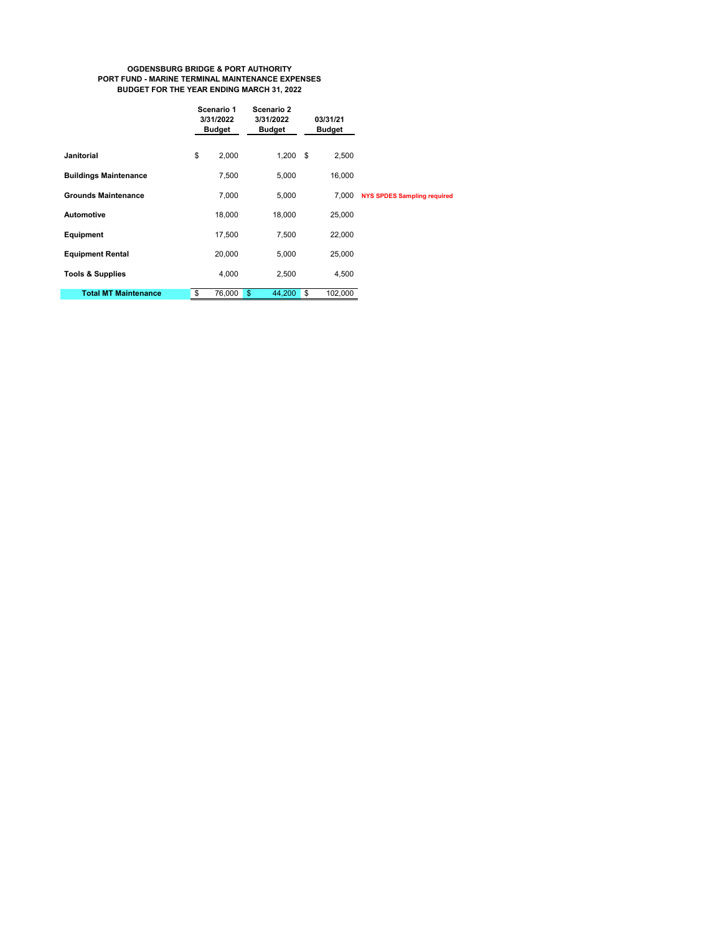#### **OGDENSBURG BRIDGE & PORT AUTHORITY PORT FUND - MARINE TERMINAL MAINTENANCE EXPENSES BUDGET FOR THE YEAR ENDING MARCH 31, 2022**

|                              | Scenario 1<br>3/31/2022<br><b>Budget</b> | Scenario 2<br>3/31/2022<br><b>Budget</b> | 03/31/21<br><b>Budget</b> |         |                                    |
|------------------------------|------------------------------------------|------------------------------------------|---------------------------|---------|------------------------------------|
| <b>Janitorial</b>            | \$<br>2,000                              | $1,200$ \$                               |                           | 2,500   |                                    |
| <b>Buildings Maintenance</b> | 7,500                                    | 5,000                                    |                           | 16,000  |                                    |
| <b>Grounds Maintenance</b>   | 7,000                                    | 5,000                                    |                           | 7,000   | <b>NYS SPDES Sampling required</b> |
| <b>Automotive</b>            | 18,000                                   | 18,000                                   |                           | 25,000  |                                    |
| Equipment                    | 17,500                                   | 7,500                                    |                           | 22,000  |                                    |
| <b>Equipment Rental</b>      | 20,000                                   | 5,000                                    |                           | 25,000  |                                    |
| <b>Tools &amp; Supplies</b>  | 4,000                                    | 2,500                                    |                           | 4,500   |                                    |
| <b>Total MT Maintenance</b>  | \$<br>76,000                             | $\mathbf{s}$<br>44,200                   | \$                        | 102,000 |                                    |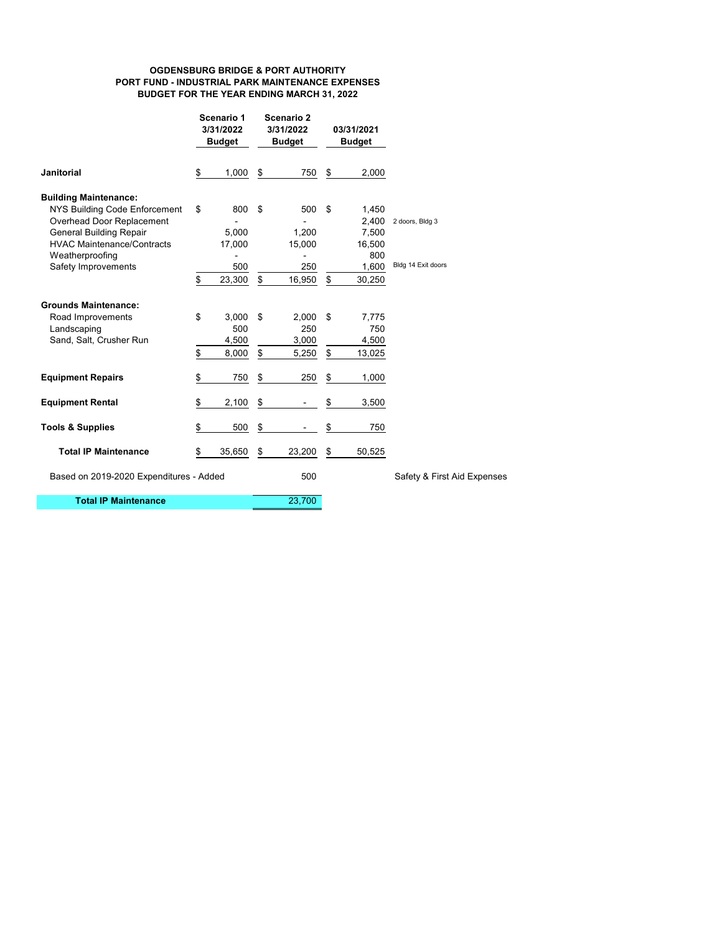#### **OGDENSBURG BRIDGE & PORT AUTHORITY PORT FUND - INDUSTRIAL PARK MAINTENANCE EXPENSES BUDGET FOR THE YEAR ENDING MARCH 31, 2022**

|                                                                                                                                                                                                             |          | Scenario 1<br>3/31/2022<br><b>Budget</b> |               | Scenario 2<br>3/31/2022<br><b>Budget</b> |            | 03/31/2021<br><b>Budget</b>                                 |                                       |
|-------------------------------------------------------------------------------------------------------------------------------------------------------------------------------------------------------------|----------|------------------------------------------|---------------|------------------------------------------|------------|-------------------------------------------------------------|---------------------------------------|
| <b>Janitorial</b>                                                                                                                                                                                           | \$       | 1,000                                    | \$            | 750                                      | \$         | 2,000                                                       |                                       |
| <b>Building Maintenance:</b><br>NYS Building Code Enforcement<br>Overhead Door Replacement<br><b>General Building Repair</b><br><b>HVAC Maintenance/Contracts</b><br>Weatherproofing<br>Safety Improvements | \$<br>\$ | 800<br>5,000<br>17,000<br>500<br>23,300  | \$<br>\$      | 500<br>1,200<br>15,000<br>250<br>16,950  | - \$<br>\$ | 1,450<br>2,400<br>7,500<br>16,500<br>800<br>1,600<br>30,250 | 2 doors, Bldg 3<br>Bldg 14 Exit doors |
| <b>Grounds Maintenance:</b><br>Road Improvements<br>Landscaping<br>Sand, Salt, Crusher Run                                                                                                                  | \$<br>\$ | 3,000<br>500<br>4,500<br>8,000           | \$<br>\$      | 2,000<br>250<br>3,000<br>5,250           | \$<br>\$   | 7,775<br>750<br>4,500<br>13,025                             |                                       |
| <b>Equipment Repairs</b>                                                                                                                                                                                    | \$       | 750                                      | \$            | 250                                      | \$         | 1,000                                                       |                                       |
| <b>Equipment Rental</b>                                                                                                                                                                                     | \$       | 2,100                                    | \$            |                                          | \$         | 3,500                                                       |                                       |
| <b>Tools &amp; Supplies</b>                                                                                                                                                                                 | \$       | 500                                      | $\frac{1}{2}$ |                                          | \$         | 750                                                         |                                       |
| <b>Total IP Maintenance</b>                                                                                                                                                                                 | \$       | 35,650                                   | \$            | 23,200                                   | \$         | 50,525                                                      |                                       |
| Based on 2019-2020 Expenditures - Added                                                                                                                                                                     |          |                                          | 500           |                                          |            | Safety & First Aid Expenses                                 |                                       |
| <b>Total IP Maintenance</b>                                                                                                                                                                                 |          |                                          |               | 23,700                                   |            |                                                             |                                       |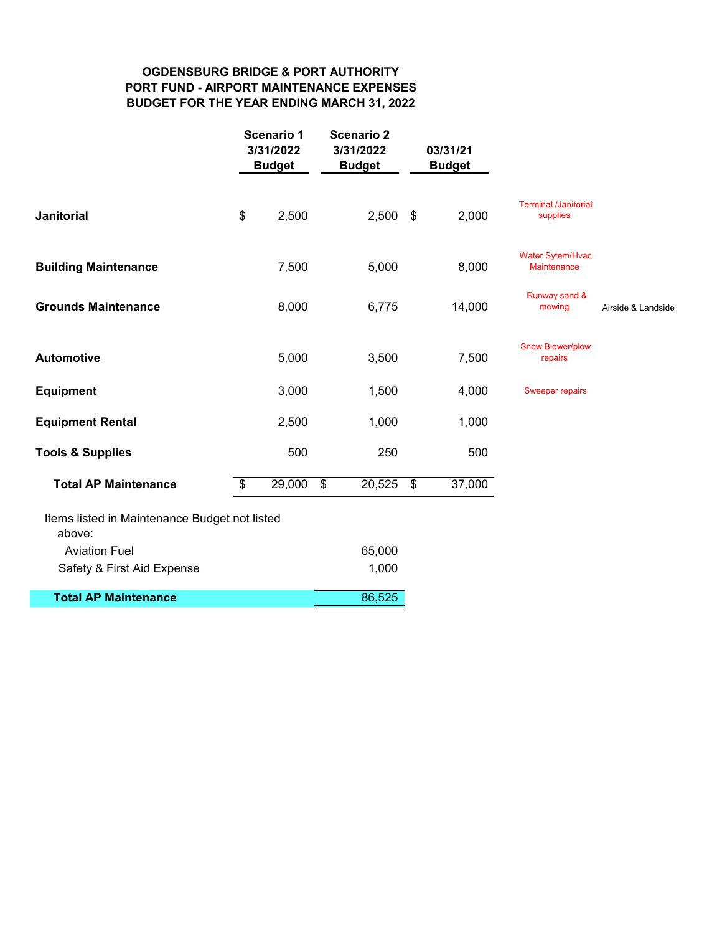# **OGDENSBURG BRIDGE & PORT AUTHORITY PORT FUND - AIRPORT MAINTENANCE EXPENSES BUDGET FOR THE YEAR ENDING MARCH 31, 2022**

|              | 3/31/2022<br><b>Budget</b>                                                                       |        |                   | 03/31/21<br><b>Budget</b> |                                               |                    |
|--------------|--------------------------------------------------------------------------------------------------|--------|-------------------|---------------------------|-----------------------------------------------|--------------------|
| \$<br>2,500  |                                                                                                  | 2,500  | \$                | 2,000                     | <b>Terminal /Janitorial</b><br>supplies       |                    |
| 7,500        |                                                                                                  | 5,000  |                   | 8,000                     | <b>Water Sytem/Hvac</b><br><b>Maintenance</b> |                    |
| 8,000        |                                                                                                  | 6,775  |                   | 14,000                    | Runway sand &<br>mowing                       | Airside & Landside |
| 5,000        |                                                                                                  | 3,500  |                   | 7,500                     | <b>Snow Blower/plow</b><br>repairs            |                    |
| 3,000        |                                                                                                  | 1,500  |                   | 4,000                     | <b>Sweeper repairs</b>                        |                    |
| 2,500        |                                                                                                  | 1,000  |                   | 1,000                     |                                               |                    |
| 500          |                                                                                                  | 250    |                   | 500                       |                                               |                    |
| \$<br>29,000 | $\frac{1}{2}$                                                                                    | 20,525 | $\frac{1}{2}$     | 37,000                    |                                               |                    |
|              |                                                                                                  |        |                   |                           |                                               |                    |
|              |                                                                                                  | 65,000 |                   |                           |                                               |                    |
|              |                                                                                                  | 1,000  |                   |                           |                                               |                    |
|              |                                                                                                  | 86,525 |                   |                           |                                               |                    |
|              | <b>Scenario 1</b><br>3/31/2022<br><b>Budget</b><br>Items listed in Maintenance Budget not listed |        | <b>Scenario 2</b> |                           |                                               |                    |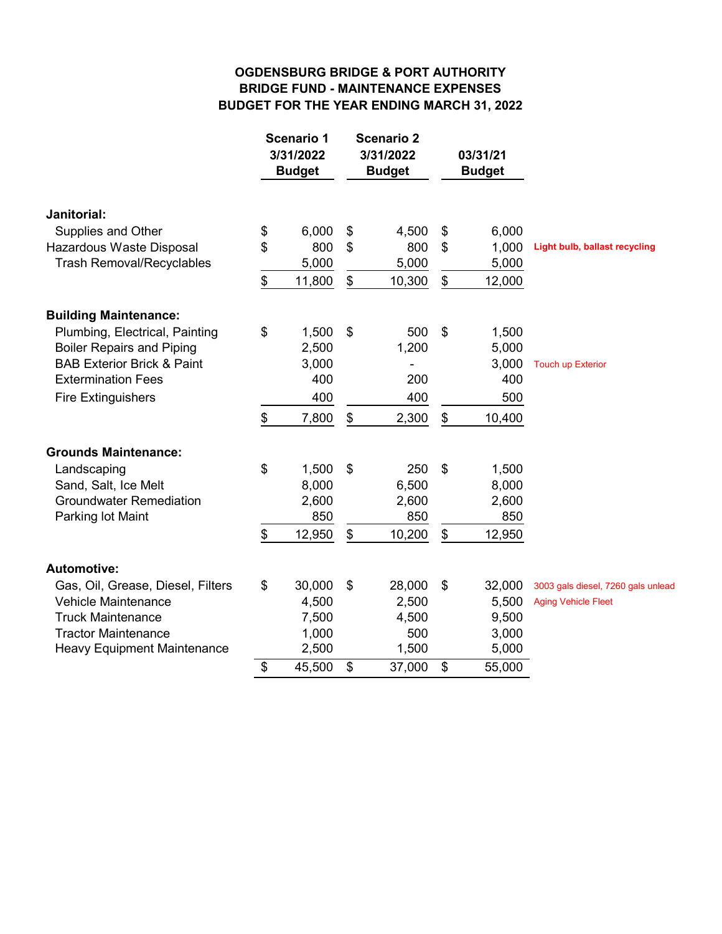# **OGDENSBURG BRIDGE & PORT AUTHORITY BRIDGE FUND - MAINTENANCE EXPENSES BUDGET FOR THE YEAR ENDING MARCH 31, 2022**

|                                       | <b>Scenario 1</b><br>3/31/2022<br><b>Budget</b> |                                           | <b>Scenario 2</b><br>3/31/2022<br><b>Budget</b> | 03/31/21<br><b>Budget</b> |                                      |
|---------------------------------------|-------------------------------------------------|-------------------------------------------|-------------------------------------------------|---------------------------|--------------------------------------|
| Janitorial:                           |                                                 |                                           |                                                 |                           |                                      |
| Supplies and Other                    | \$<br>6,000                                     | \$                                        | 4,500                                           | \$<br>6,000               |                                      |
| Hazardous Waste Disposal              | \$<br>800                                       | \$                                        | 800                                             | \$<br>1,000               | <b>Light bulb, ballast recycling</b> |
| <b>Trash Removal/Recyclables</b>      | 5,000                                           |                                           | 5,000                                           | 5,000                     |                                      |
|                                       | \$<br>11,800                                    | $\, \, \raisebox{12pt}{$\scriptstyle \$}$ | 10,300                                          | \$<br>12,000              |                                      |
| <b>Building Maintenance:</b>          |                                                 |                                           |                                                 |                           |                                      |
| Plumbing, Electrical, Painting        | \$<br>1,500                                     | \$                                        | 500                                             | \$<br>1,500               |                                      |
| <b>Boiler Repairs and Piping</b>      | 2,500                                           |                                           | 1,200                                           | 5,000                     |                                      |
| <b>BAB Exterior Brick &amp; Paint</b> | 3,000                                           |                                           | -                                               | 3,000                     | <b>Touch up Exterior</b>             |
| <b>Extermination Fees</b>             | 400                                             |                                           | 200                                             | 400                       |                                      |
| <b>Fire Extinguishers</b>             | 400                                             |                                           | 400                                             | 500                       |                                      |
|                                       | \$<br>7,800                                     | \$                                        | 2,300                                           | \$<br>10,400              |                                      |
| <b>Grounds Maintenance:</b>           |                                                 |                                           |                                                 |                           |                                      |
| Landscaping                           | \$<br>1,500                                     | \$                                        | 250                                             | \$<br>1,500               |                                      |
| Sand, Salt, Ice Melt                  | 8,000                                           |                                           | 6,500                                           | 8,000                     |                                      |
| <b>Groundwater Remediation</b>        | 2,600                                           |                                           | 2,600                                           | 2,600                     |                                      |
| Parking lot Maint                     | 850                                             |                                           | 850                                             | 850                       |                                      |
|                                       | \$<br>12,950                                    | \$                                        | 10,200                                          | \$<br>12,950              |                                      |
| <b>Automotive:</b>                    |                                                 |                                           |                                                 |                           |                                      |
| Gas, Oil, Grease, Diesel, Filters     | \$<br>30,000                                    | \$                                        | 28,000                                          | \$<br>32,000              | 3003 gals diesel, 7260 gals unlead   |
| <b>Vehicle Maintenance</b>            | 4,500                                           |                                           | 2,500                                           | 5,500                     | <b>Aging Vehicle Fleet</b>           |
| <b>Truck Maintenance</b>              | 7,500                                           |                                           | 4,500                                           | 9,500                     |                                      |
| <b>Tractor Maintenance</b>            | 1,000                                           |                                           | 500                                             | 3,000                     |                                      |
| <b>Heavy Equipment Maintenance</b>    | 2,500                                           |                                           | 1,500                                           | 5,000                     |                                      |
|                                       | \$<br>45,500                                    | \$                                        | 37,000                                          | \$<br>55,000              |                                      |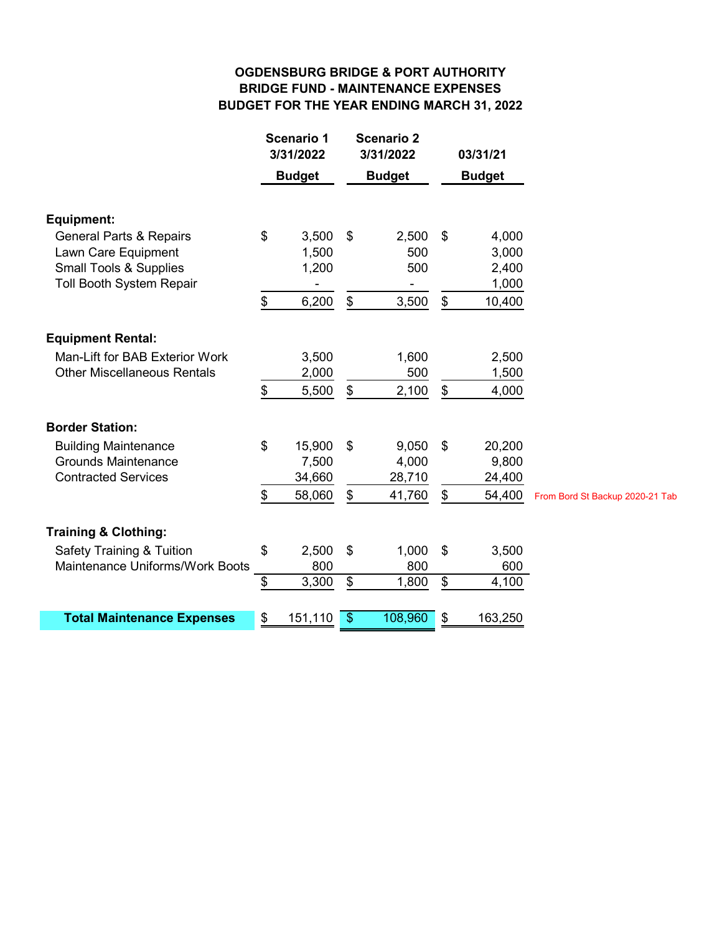# **OGDENSBURG BRIDGE & PORT AUTHORITY BRIDGE FUND - MAINTENANCE EXPENSES BUDGET FOR THE YEAR ENDING MARCH 31, 2022**

| 3/31/2022     |                                                                        | 3/31/2022     |                                                   | 03/31/21      |                                            |
|---------------|------------------------------------------------------------------------|---------------|---------------------------------------------------|---------------|--------------------------------------------|
|               |                                                                        | <b>Budget</b> |                                                   | <b>Budget</b> |                                            |
|               |                                                                        |               |                                                   |               |                                            |
| \$<br>3,500   | \$                                                                     | 2,500         | \$                                                | 4,000         |                                            |
|               |                                                                        |               |                                                   |               |                                            |
|               |                                                                        |               |                                                   |               |                                            |
|               |                                                                        |               |                                                   |               |                                            |
|               |                                                                        |               |                                                   |               |                                            |
|               |                                                                        |               |                                                   |               |                                            |
| 3,500         |                                                                        | 1,600         |                                                   | 2,500         |                                            |
| 2,000         |                                                                        | 500           |                                                   | 1,500         |                                            |
| \$<br>5,500   | \$                                                                     | 2,100         | \$                                                | 4,000         |                                            |
|               |                                                                        |               |                                                   |               |                                            |
| \$<br>15,900  | \$                                                                     | 9,050         | \$                                                | 20,200        |                                            |
| 7,500         |                                                                        | 4,000         |                                                   | 9,800         |                                            |
| 34,660        |                                                                        | 28,710        |                                                   | 24,400        |                                            |
| \$<br>58,060  | \$                                                                     | 41,760        | \$                                                | 54,400        | From Bord St Backup 2020-21 Tab            |
|               |                                                                        |               |                                                   |               |                                            |
|               |                                                                        |               |                                                   |               |                                            |
| 800           |                                                                        | 800           |                                                   | 600           |                                            |
| \$<br>3,300   | \$                                                                     | 1,800         | \$                                                | 4,100         |                                            |
| \$<br>151,110 | $\frac{1}{2}$                                                          | 108,960       | \$                                                | 163,250       |                                            |
| \$<br>\$      | <b>Scenario 1</b><br><b>Budget</b><br>1,500<br>1,200<br>6,200<br>2,500 | \$<br>\$      | <b>Scenario 2</b><br>500<br>500<br>3,500<br>1,000 | \$<br>\$      | 3,000<br>2,400<br>1,000<br>10,400<br>3,500 |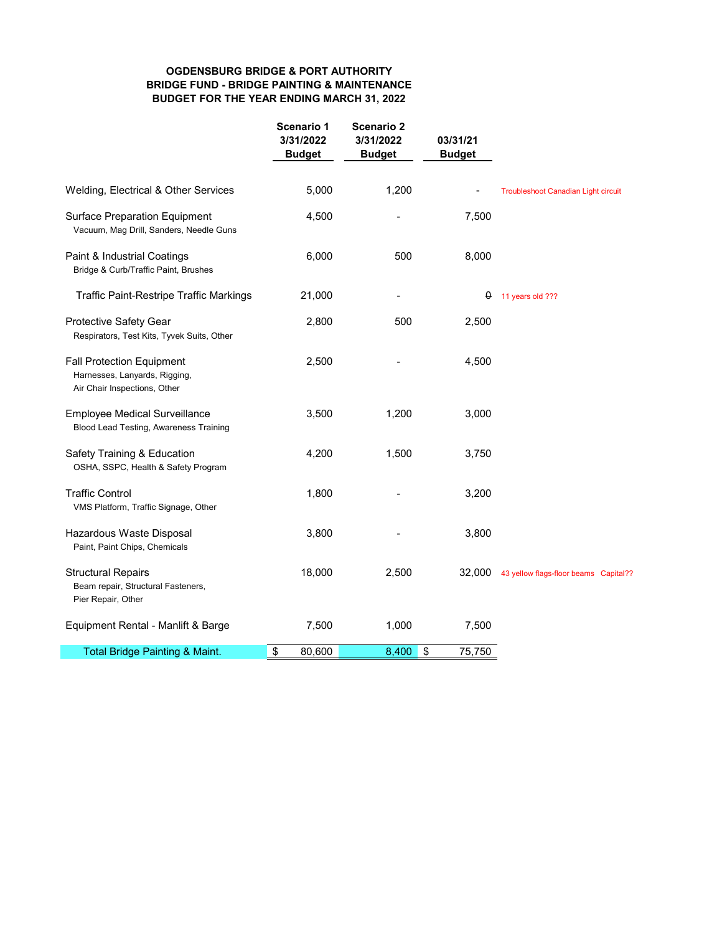### **OGDENSBURG BRIDGE & PORT AUTHORITY BRIDGE FUND - BRIDGE PAINTING & MAINTENANCE BUDGET FOR THE YEAR ENDING MARCH 31, 2022**

|                                                                                                   | Scenario 1<br>3/31/2022<br><b>Budget</b> | <b>Scenario 2</b><br>3/31/2022<br><b>Budget</b> | 03/31/21<br><b>Budget</b> |                                            |
|---------------------------------------------------------------------------------------------------|------------------------------------------|-------------------------------------------------|---------------------------|--------------------------------------------|
| Welding, Electrical & Other Services                                                              | 5,000                                    | 1,200                                           |                           | <b>Troubleshoot Canadian Light circuit</b> |
| <b>Surface Preparation Equipment</b><br>Vacuum, Mag Drill, Sanders, Needle Guns                   | 4,500                                    |                                                 | 7,500                     |                                            |
| Paint & Industrial Coatings<br>Bridge & Curb/Traffic Paint, Brushes                               | 6,000                                    | 500                                             | 8,000                     |                                            |
| <b>Traffic Paint-Restripe Traffic Markings</b>                                                    | 21,000                                   |                                                 | 0                         | 11 years old ???                           |
| Protective Safety Gear<br>Respirators, Test Kits, Tyvek Suits, Other                              | 2,800                                    | 500                                             | 2,500                     |                                            |
| <b>Fall Protection Equipment</b><br>Harnesses, Lanyards, Rigging,<br>Air Chair Inspections, Other | 2,500                                    |                                                 | 4,500                     |                                            |
| <b>Employee Medical Surveillance</b><br>Blood Lead Testing, Awareness Training                    | 3,500                                    | 1,200                                           | 3,000                     |                                            |
| Safety Training & Education<br>OSHA, SSPC, Health & Safety Program                                | 4,200                                    | 1,500                                           | 3,750                     |                                            |
| <b>Traffic Control</b><br>VMS Platform, Traffic Signage, Other                                    | 1,800                                    |                                                 | 3,200                     |                                            |
| Hazardous Waste Disposal<br>Paint, Paint Chips, Chemicals                                         | 3,800                                    |                                                 | 3,800                     |                                            |
| <b>Structural Repairs</b><br>Beam repair, Structural Fasteners,<br>Pier Repair, Other             | 18,000                                   | 2,500                                           | 32,000                    | 43 yellow flags-floor beams Capital??      |
| Equipment Rental - Manlift & Barge                                                                | 7,500                                    | 1,000                                           | 7,500                     |                                            |
| Total Bridge Painting & Maint.                                                                    | \$<br>80,600                             | 8,400                                           | 75,750<br>\$              |                                            |